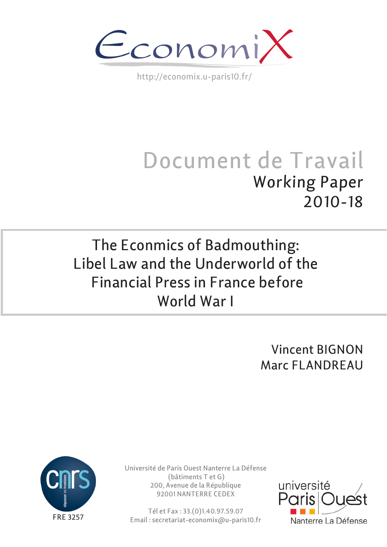

http://economix.u-paris10.fr/

# Document de Travail Working Paper 2010-18

# The Econmics of Badmouthing: Libel Law and the Underworld of the Financial Press in France before World War I

Vincent BIGNON Marc FLANDREAU



Université de Paris Ouest Nanterre La Défense (bâtiments T et G) 200, Avenue de la République 92001 NANTERRE CEDEX

Tél et Fax : 33.(0)1.40.97.59.07 Email : secretariat-economix@u-paris10.fr

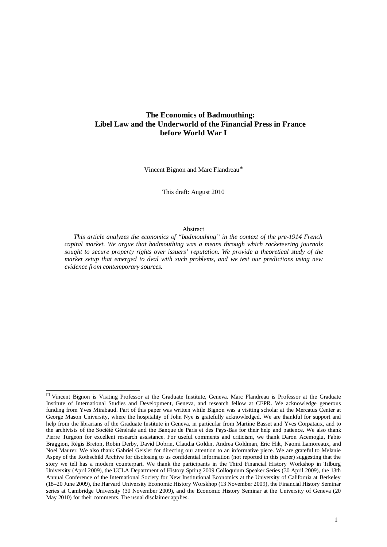# **The Economics of Badmouthing: Libel Law and the Underworld of the Financial Press in France before World War I**

Vincent Bignon and Marc Flandreau<sup>+</sup>

This draft: August 2010

#### Abstract

*This article analyzes the economics of "badmouthing" in the context of the pre-1914 French capital market. We argue that badmouthing was a means through which racketeering journals sought to secure property rights over issuers' reputation. We provide a theoretical study of the market setup that emerged to deal with such problems, and we test our predictions using new evidence from contemporary sources.*

<span id="page-1-0"></span> $\Box$  Vincent Bignon is Visiting Professor at the Graduate Institute, Geneva. Marc Flandreau is Professor at the Graduate Institute of International Studies and Development, Geneva, and research fellow at CEPR. We acknowledge generous funding from Yves Mirabaud. Part of this paper was written while Bignon was a visiting scholar at the Mercatus Center at George Mason University, where the hospitality of John Nye is gratefully acknowledged. We are thankful for support and help from the librarians of the Graduate Institute in Geneva, in particular from Martine Basset and Yves Corpataux, and to the archivists of the Société Générale and the Banque de Paris et des Pays-Bas for their help and patience. We also thank Pierre Turgeon for excellent research assistance. For useful comments and criticism, we thank Daron Acemoglu, Fabio Braggion, Régis Breton, Robin Derby, David Dobrin, Claudia Goldin, Andrea Goldman, Eric Hilt, Naomi Lamoreaux, and Noel Maurer. We also thank Gabriel Geisler for directing our attention to an informative piece. We are grateful to Melanie Aspey of the Rothschild Archive for disclosing to us confidential information (not reported in this paper) suggesting that the story we tell has a modern counterpart. We thank the participants in the Third Financial History Workshop in Tilburg University (April 2009), the UCLA Department of History Spring 2009 Colloquium Speaker Series (30 April 2009), the 13th Annual Conference of the International Society for New Institutional Economics at the University of California at Berkeley (18–20 June 2009), the Harvard University Economic History Worskhop (13 November 2009), the Financial History Seminar series at Cambridge University (30 November 2009), and the Economic History Seminar at the University of Geneva (20 May 2010) for their comments. The usual disclaimer applies.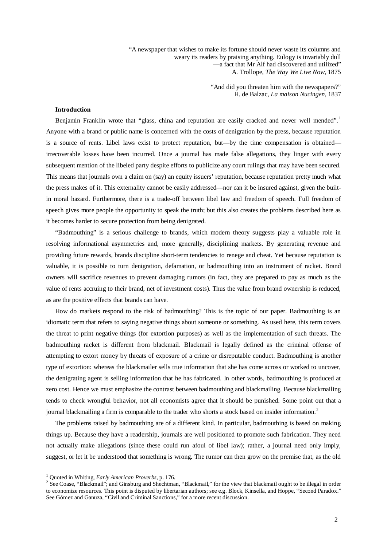"A newspaper that wishes to make its fortune should never waste its columns and weary its readers by praising anything. Eulogy is invariably dull —a fact that Mr Alf had discovered and utilized" A. Trollope, *The Way We Live Now*, 1875

> "And did you threaten him with the newspapers?" H. de Balzac, *La maison Nucingen*, 1837

#### **Introduction**

Benjamin Franklin wrote that "glass, china and reputation are easily cracked and never well mended".<sup>[1](#page-2-0)</sup> Anyone with a brand or public name is concerned with the costs of denigration by the press, because reputation is a source of rents. Libel laws exist to protect reputation, but—by the time compensation is obtained irrecoverable losses have been incurred. Once a journal has made false allegations, they linger with every subsequent mention of the libeled party despite efforts to publicize any court rulings that may have been secured. This means that journals own a claim on (say) an equity issuers' reputation, because reputation pretty much what the press makes of it. This externality cannot be easily addressed—nor can it be insured against, given the builtin moral hazard. Furthermore, there is a trade-off between libel law and freedom of speech. Full freedom of speech gives more people the opportunity to speak the truth; but this also creates the problems described here as it becomes harder to secure protection from being denigrated.

"Badmouthing" is a serious challenge to brands, which modern theory suggests play a valuable role in resolving informational asymmetries and, more generally, disciplining markets. By generating revenue and providing future rewards, brands discipline short-term tendencies to renege and cheat. Yet because reputation is valuable, it is possible to turn denigration, defamation, or badmouthing into an instrument of racket. Brand owners will sacrifice revenues to prevent damaging rumors (in fact, they are prepared to pay as much as the value of rents accruing to their brand, net of investment costs). Thus the value from brand ownership is reduced, as are the positive effects that brands can have.

How do markets respond to the risk of badmouthing? This is the topic of our paper. Badmouthing is an idiomatic term that refers to saying negative things about someone or something. As used here, this term covers the threat to print negative things (for extortion purposes) as well as the implementation of such threats. The badmouthing racket is different from blackmail. Blackmail is legally defined as the criminal offense of attempting to extort money by threats of exposure of a crime or disreputable conduct. Badmouthing is another type of extortion: whereas the blackmailer sells true information that she has come across or worked to uncover, the denigrating agent is selling information that he has fabricated. In other words, badmouthing is produced at zero cost. Hence we must emphasize the contrast between badmouthing and blackmailing. Because blackmailing tends to check wrongful behavior, not all economists agree that it should be punished. Some point out that a journal blackmailing a firm is comparable to the trader who shorts a stock based on insider information.<sup>[2](#page-2-0)</sup>

The problems raised by badmouthing are of a different kind. In particular, badmouthing is based on making things up. Because they have a readership, journals are well positioned to promote such fabrication. They need not actually make allegations (since these could run afoul of libel law); rather, a journal need only imply, suggest, or let it be understood that something is wrong. The rumor can then grow on the premise that, as the old

<span id="page-2-0"></span><sup>&</sup>lt;sup>1</sup> Quoted in Whiting, *Early American Proverbs*, p. 176.<br><sup>2</sup> See Coase, "Blackmail"; and Ginsburg and Shechtman, "Blackmail," for the view that blackmail ought to be illegal in order to economize resources. This point is disputed by libertarian authors; see e.g. Block, Kinsella, and Hoppe, "Second Paradox." See Gómez and Ganuza, "Civil and Criminal Sanctions," for a more recent discussion.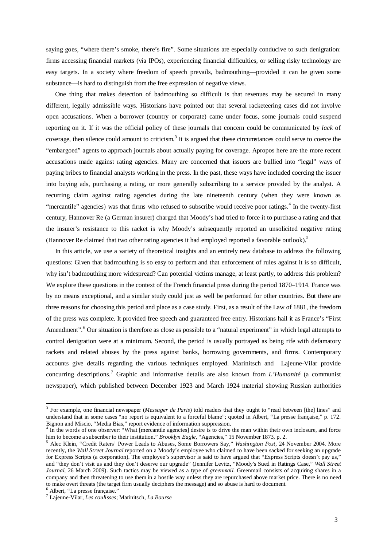saying goes, "where there's smoke, there's fire". Some situations are especially conducive to such denigration: firms accessing financial markets (via IPOs), experiencing financial difficulties, or selling risky technology are easy targets. In a society where freedom of speech prevails, badmouthing—provided it can be given some substance—is hard to distinguish from the free expression of negative views.

One thing that makes detection of badmouthing so difficult is that revenues may be secured in many different, legally admissible ways. Historians have pointed out that several racketeering cases did not involve open accusations. When a borrower (country or corporate) came under focus, some journals could suspend reporting on it. If it was the official policy of these journals that concern could be communicated by *lack* of coverage, then silence could amount to criticism.<sup>[3](#page-3-0)</sup> It is argued that these circumstances could serve to coerce the "embargoed" agents to approach journals about actually paying for coverage. Apropos here are the more recent accusations made against rating agencies. Many are concerned that issuers are bullied into "legal" ways of paying bribes to financial analysts working in the press. In the past, these ways have included coercing the issuer into buying ads, purchasing a rating, or more generally subscribing to a service provided by the analyst. A recurring claim against rating agencies during the late nineteenth century (when they were known as "mercantile" agencies) was that firms who refused to subscribe would receive poor ratings.<sup>[4](#page-3-0)</sup> In the twenty-first century, Hannover Re (a German insurer) charged that Moody's had tried to force it to purchase a rating and that the insurer's resistance to this racket is why Moody's subsequently reported an unsolicited negative rating (Hannover Re claimed that two other rating agencies it had employed reported a favorable outlook)[.5](#page-3-0)

In this article, we use a variety of theoretical insights and an entirely new database to address the following questions: Given that badmouthing is so easy to perform and that enforcement of rules against it is so difficult, why isn't badmouthing more widespread? Can potential victims manage, at least partly, to address this problem? We explore these questions in the context of the French financial press during the period 1870–1914. France was by no means exceptional, and a similar study could just as well be performed for other countries. But there are three reasons for choosing this period and place as a case study. First, as a result of the Law of 1881, the freedom of the press was complete. It provided free speech and guaranteed free entry. Historians hail it as France's "First Amendment".<sup>[6](#page-3-0)</sup> Our situation is therefore as close as possible to a "natural experiment" in which legal attempts to control denigration were at a minimum. Second, the period is usually portrayed as being rife with defamatory rackets and related abuses by the press against banks, borrowing governments, and firms. Contemporary accounts give details regarding the various techniques employed. Marinitsch and Lajeune-Vilar provide concurring descriptions.[7](#page-3-0) Graphic and informative details are also known from *L'Humanité* (a communist newspaper), which published between December 1923 and March 1924 material showing Russian authorities

<span id="page-3-0"></span> <sup>3</sup> For example, one financial newspaper (*Messager de Paris*) told readers that they ought to "read between [the] lines" and understand that in some cases "no report is equivalent to a forceful blame"; quoted in Albert, "La presse française," p. 172. Bignon and Miscio, "Media Bias," report evidence of information suppression.

<sup>&</sup>lt;sup>4</sup> In the words of one observer: "What [mercantile agencies] desire is to drive the man within their own inclosure, and force him to become a subscriber to their institution." Brooklyn Eagle, "Agencies," 15 November 1873, p. 2.<br><sup>5</sup> Alec Klein, "Credit Raters' Power Leads to Abuses, Some Borrowers Say," Washington Post, 24 November 2004. More

recently, the *Wall Street Journal* reported on a Moody's employee who claimed to have been sacked for seeking an upgrade for Express Scripts (a corporation). The employee's supervisor is said to have argued that "Express Scripts doesn't pay us," and "they don't visit us and they don't deserve our upgrade" (Jennifer Levitz, "Moody's Sued in Ratings Case," *Wall Street Journal*, 26 March 2009). Such tactics may be viewed as a type of *greenmail*. Greenmail consists of acquiring shares in a company and then threatening to use them in a hostile way unless they are repurchased above market price. There is no need to make overt threats (the target firm usually deciphers the message) and so abuse is hard to document.

<sup>6</sup> Albert, "La presse française." <sup>7</sup> Lajeune-Vilar, *Les coulisses*; Marinitsch, *La Bourse*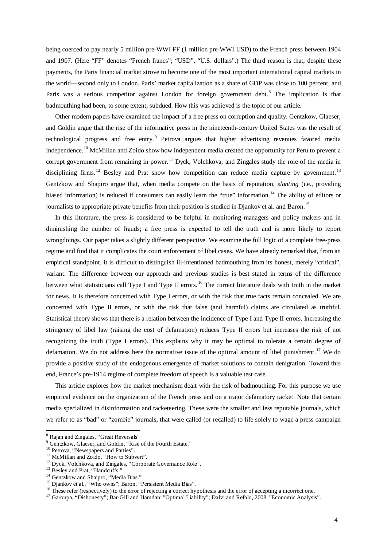being coerced to pay nearly 5 million pre-WWI FF (1 million pre-WWI USD) to the French press between 1904 and 1907. (Here "FF" denotes "French francs"; "USD", "U.S. dollars".) The third reason is that, despite these payments, the Paris financial market strove to become one of the most important international capital markets in the world—second only to London. Paris' market capitalization as a share of GDP was close to 100 percent, and Paris was a serious competitor against London for foreign government debt.<sup>[8](#page-4-0)</sup> The implication is that badmouthing had been, to some extent, subdued. How this was achieved is the topic of our article.

Other modern papers have examined the impact of a free press on corruption and quality. Gentzkow, Glaeser, and Goldin argue that the rise of the informative press in the nineteenth-century United States was the result of technological progress and free entry.<sup>[9](#page-4-0)</sup> Petrova argues that higher advertising revenues favored media independence.<sup>[10](#page-4-0)</sup> McMillan and Zoido show how independent media created the opportunity for Peru to prevent a corrupt government from remaining in power.<sup>[11](#page-4-0)</sup> Dyck, Volchkova, and Zingales study the role of the media in disciplining firms.<sup>[12](#page-4-0)</sup> Besley and Prat show how competition can reduce media capture by government.<sup>[13](#page-4-0)</sup> Gentzkow and Shapiro argue that, when media compete on the basis of reputation, *slanting* (i.e., providing biased information) is reduced if consumers can easily learn the "true" information.<sup>[14](#page-4-0)</sup> The ability of editors or journalists to appropriate private benefits from their position is studied in Djankov et al. and Baron.<sup>[15](#page-4-0)</sup>

In this literature, the press is considered to be helpful in monitoring managers and policy makers and in diminishing the number of frauds; a free press is expected to tell the truth and is more likely to report wrongdoings. Our paper takes a slightly different perspective. We examine the full logic of a complete free-press regime and find that it complicates the court enforcement of libel cases. We have already remarked that, from an empirical standpoint, it is difficult to distinguish ill-intentioned badmouthing from its honest, merely "critical", variant. The difference between our approach and previous studies is best stated in terms of the difference between what statisticians call Type I and Type II errors.<sup>[16](#page-4-0)</sup> The current literature deals with truth in the market for news. It is therefore concerned with Type I errors, or with the risk that true facts remain concealed. We are concerned with Type II errors, or with the risk that false (and harmful) claims are circulated as truthful. Statistical theory shows that there is a relation between the incidence of Type I and Type II errors. Increasing the stringency of libel law (raising the cost of defamation) reduces Type II errors but increases the risk of not recognizing the truth (Type I errors). This explains why it may be optimal to tolerate a certain degree of defamation. We do not address here the normative issue of the optimal amount of libel punishment.<sup>[17](#page-4-0)</sup> We do provide a positive study of the endogenous emergence of market solutions to contain denigration. Toward this end, France's pre-1914 regime of complete freedom of speech is a valuable test case.

This article explores how the market mechanism dealt with the risk of badmouthing. For this purpose we use empirical evidence on the organization of the French press and on a major defamatory racket. Note that certain media specialized in disinformation and racketeering. These were the smaller and less reputable journals, which we refer to as "bad" or "zombie" journals, that were called (or recalled) to life solely to wage a press campaign

<span id="page-4-0"></span><sup>&</sup>lt;sup>8</sup> Rajan and Zingales, "Great Reversals"<br>
<sup>9</sup> Gentzkow, Glaeser, and Goldin, "Rise of the Fourth Estate."<br>
<sup>10</sup> Petrova, "Newspapers and Parties".<br>
<sup>11</sup> McMillan and Zoido, "How to Subvert".<br>
<sup>12</sup> Dyck, Volchkova, and Zi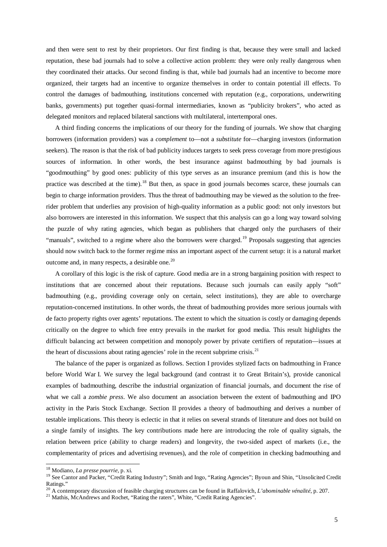and then were sent to rest by their proprietors. Our first finding is that, because they were small and lacked reputation, these bad journals had to solve a collective action problem: they were only really dangerous when they coordinated their attacks. Our second finding is that, while bad journals had an incentive to become more organized, their targets had an incentive to organize themselves in order to contain potential ill effects. To control the damages of badmouthing, institutions concerned with reputation (e.g., corporations, underwriting banks, governments) put together quasi-formal intermediaries, known as "publicity brokers", who acted as delegated monitors and replaced bilateral sanctions with multilateral, intertemporal ones.

A third finding concerns the implications of our theory for the funding of journals. We show that charging borrowers (information providers) was a *complement* to—not a *substitute* for—charging investors (information seekers). The reason is that the risk of bad publicity induces targets to seek press coverage from more prestigious sources of information. In other words, the best insurance against badmouthing by bad journals is "goodmouthing" by good ones: publicity of this type serves as an insurance premium (and this is how the practice was described at the time).<sup>[18](#page-5-0)</sup> But then, as space in good journals becomes scarce, these journals can begin to charge information providers. Thus the threat of badmouthing may be viewed as the solution to the freerider problem that underlies any provision of high-quality information as a public good: not only investors but also borrowers are interested in this information. We suspect that this analysis can go a long way toward solving the puzzle of why rating agencies, which began as publishers that charged only the purchasers of their "manuals", switched to a regime where also the borrowers were charged.<sup>[19](#page-5-0)</sup> Proposals suggesting that agencies should now switch back to the former regime miss an important aspect of the current setup: it is a natural market outcome and, in many respects, a desirable one.<sup>[20](#page-5-0)</sup>

A corollary of this logic is the risk of capture. Good media are in a strong bargaining position with respect to institutions that are concerned about their reputations. Because such journals can easily apply "soft" badmouthing (e.g., providing coverage only on certain, select institutions), they are able to overcharge reputation-concerned institutions. In other words, the threat of badmouthing provides more serious journals with de facto property rights over agents' reputations. The extent to which the situation is costly or damaging depends critically on the degree to which free entry prevails in the market for good media. This result highlights the difficult balancing act between competition and monopoly power by private certifiers of reputation—issues at the heart of discussions about rating agencies' role in the recent subprime crisis. $^{21}$  $^{21}$  $^{21}$ 

The balance of the paper is organized as follows. Section I provides stylized facts on badmouthing in France before World War I. We survey the legal background (and contrast it to Great Britain's), provide canonical examples of badmouthing, describe the industrial organization of financial journals, and document the rise of what we call a *zombie press*. We also document an association between the extent of badmouthing and IPO activity in the Paris Stock Exchange. Section II provides a theory of badmouthing and derives a number of testable implications. This theory is eclectic in that it relies on several strands of literature and does not build on a single family of insights. The key contributions made here are introducing the role of quality signals, the relation between price (ability to charge readers) and longevity, the two-sided aspect of markets (i.e., the complementarity of prices and advertising revenues), and the role of competition in checking badmouthing and

<span id="page-5-0"></span><sup>&</sup>lt;sup>18</sup> Modiano, *La presse pourrie*, p. xi.<br><sup>19</sup> See Cantor and Packer, "Credit Rating Industry"; Smith and Ingo, "Rating Agencies"; Byoun and Shin, "Unsolicited Credit Ratings."

<sup>&</sup>lt;sup>20</sup> A contemporary discussion of feasible charging structures can be found in Raffalovich, *L'abominable vénalité*, p. 207.<br><sup>21</sup> Mathis, McAndrews and Rochet, "Rating the raters", White, "Credit Rating Agencies".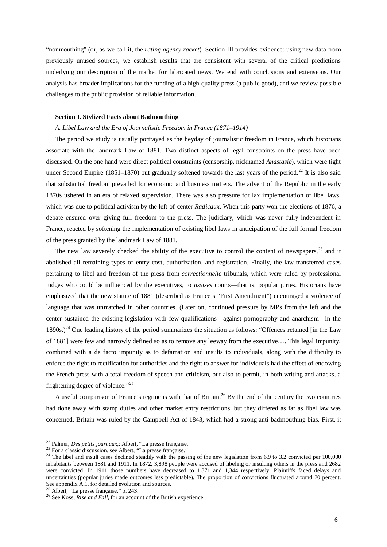"nonmouthing" (or, as we call it, the *rating agency racket*). Section III provides evidence: using new data from previously unused sources, we establish results that are consistent with several of the critical predictions underlying our description of the market for fabricated news. We end with conclusions and extensions. Our analysis has broader implications for the funding of a high-quality press (a public good), and we review possible challenges to the public provision of reliable information.

#### **Section I. Stylized Facts about Badmouthing**

#### *A. Libel Law and the Era of Journalistic Freedom in France (1871–1914)*

The period we study is usually portrayed as the heyday of journalistic freedom in France, which historians associate with the landmark Law of 1881. Two distinct aspects of legal constraints on the press have been discussed. On the one hand were direct political constraints (censorship, nicknamed *Anastasie*), which were tight under Second Empire (1851–1870) but gradually softened towards the last years of the period.<sup>[22](#page-6-0)</sup> It is also said that substantial freedom prevailed for economic and business matters. The advent of the Republic in the early 1870s ushered in an era of relaxed supervision. There was also pressure for lax implementation of libel laws, which was due to political activism by the left-of-center *Radicaux*. When this party won the elections of 1876, a debate ensured over giving full freedom to the press. The judiciary, which was never fully independent in France, reacted by softening the implementation of existing libel laws in anticipation of the full formal freedom of the press granted by the landmark Law of 1881.

The new law severely checked the ability of the executive to control the content of newspapers, $^{23}$  $^{23}$  $^{23}$  and it abolished all remaining types of entry cost, authorization, and registration. Finally, the law transferred cases pertaining to libel and freedom of the press from *correctionnelle* tribunals, which were ruled by professional judges who could be influenced by the executives, to *assises* courts—that is, popular juries. Historians have emphasized that the new statute of 1881 (described as France's "First Amendment") encouraged a violence of language that was unmatched in other countries. (Later on, continued pressure by MPs from the left and the center sustained the existing legislation with few qualifications—against pornography and anarchism—in the 1890s.)<sup>[24](#page-6-0)</sup> One leading history of the period summarizes the situation as follows: "Offences retained [in the Law of 1881] were few and narrowly defined so as to remove any leeway from the executive…. This legal impunity, combined with a de facto impunity as to defamation and insults to individuals, along with the difficulty to enforce the right to rectification for authorities and the right to answer for individuals had the effect of endowing the French press with a total freedom of speech and criticism, but also to permit, in both writing and attacks, a frightening degree of violence."[25](#page-6-0)

A useful comparison of France's regime is with that of Britain.<sup>[26](#page-6-0)</sup> By the end of the century the two countries had done away with stamp duties and other market entry restrictions, but they differed as far as libel law was concerned. Britain was ruled by the Campbell Act of 1843, which had a strong anti-badmouthing bias. First, it

<span id="page-6-0"></span><sup>&</sup>lt;sup>22</sup> Palmer, *Des petits journaux*,; Albert, "La presse française."<br><sup>23</sup> For a classic discussion, see Albert, "La presse française."<br><sup>24</sup> The libel and insult cases declined steadily with the passing of the new legislati inhabitants between 1881 and 1911. In 1872, 3,898 people were accused of libeling or insulting others in the press and 2682 were convicted. In 1911 those numbers have decreased to 1,871 and 1,344 respectively. Plaintiffs faced delays and uncertainties (popular juries made outcomes less predictable). The proportion of convictions fluctuated around 70 percent. See appendix  $\overrightarrow{A}$ .1. for detailed evolution and sources.

<sup>&</sup>lt;sup>25</sup> Albert, "La presse française," p. 243.<br><sup>26</sup> See Koss, *Rise and Fall*, for an account of the British experience.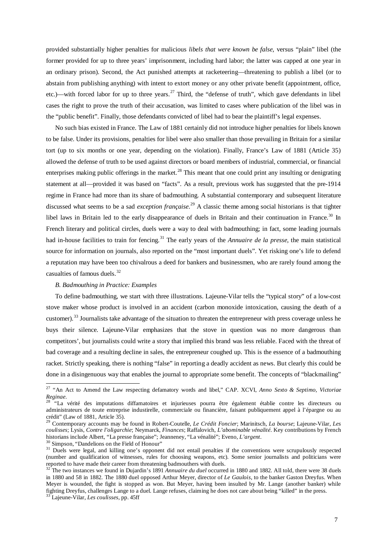provided substantially higher penalties for malicious *libels that were known be false*, versus "plain" libel (the former provided for up to three years' imprisonment, including hard labor; the latter was capped at one year in an ordinary prison). Second, the Act punished attempts at racketeering—threatening to publish a libel (or to abstain from publishing anything) with intent to extort money or any other private benefit (appointment, office, etc.)—with forced labor for up to three years.<sup>[27](#page-7-0)</sup> Third, the "defense of truth", which gave defendants in libel cases the right to prove the truth of their accusation, was limited to cases where publication of the libel was in the "public benefit". Finally, those defendants convicted of libel had to bear the plaintiff's legal expenses.

No such bias existed in France. The Law of 1881 certainly did not introduce higher penalties for libels known to be false. Under its provisions, penalties for libel were also smaller than those prevailing in Britain for a similar tort (up to six months or one year, depending on the violation). Finally, France's Law of 1881 (Article 35) allowed the defense of truth to be used against directors or board members of industrial, commercial, or financial enterprises making public offerings in the market.<sup>[28](#page-7-0)</sup> This meant that one could print any insulting or denigrating statement at all—provided it was based on "facts". As a result, previous work has suggested that the pre-1914 regime in France had more than its share of badmouthing. A substantial contemporary and subsequent literature discussed what seems to be a sad *exception française*. [29](#page-7-0) A classic theme among social historians is that tighter libel laws in Britain led to the early disappearance of duels in Britain and their continuation in France.<sup>[30](#page-7-0)</sup> In French literary and political circles, duels were a way to deal with badmouthing; in fact, some leading journals had in-house facilities to train for fencing.<sup>[31](#page-7-0)</sup> The early years of the *Annuaire de la presse*, the main statistical source for information on journals, also reported on the "most important duels". Yet risking one's life to defend a reputation may have been too chivalrous a deed for bankers and businessmen, who are rarely found among the casualties of famous duels.[32](#page-7-0)

# *B. Badmouthing in Practice: Examples*

To define badmouthing, we start with three illustrations. Lajeune-Vilar tells the "typical story" of a low-cost stove maker whose product is involved in an accident (carbon monoxide intoxication, causing the death of a customer).<sup>[33](#page-7-0)</sup> Journalists take advantage of the situation to threaten the entrepreneur with press coverage unless he buys their silence. Lajeune-Vilar emphasizes that the stove in question was no more dangerous than competitors', but journalists could write a story that implied this brand was less reliable. Faced with the threat of bad coverage and a resulting decline in sales, the entrepreneur coughed up. This is the essence of a badmouthing racket. Strictly speaking, there is nothing "false" in reporting a deadly accident as news. But clearly this could be done in a disingenuous way that enables the journal to appropriate some benefit. The concepts of "blackmailing"

<span id="page-7-0"></span> <sup>27</sup> "An Act to Amend the Law respecting defamatory words and libel," CAP. XCVI, *Anno Sexto & Septimo, Victoriae Reginae*. <sup>28</sup> "La vérité des imputations diffamatoires et injurieuses pourra être également établie contre les directeurs ou

administrateurs de toute entreprise industirelle, commerciale ou financière, faisant publiquement appel à l'épargne ou au crédit" (Law of 1881, Article 35).

<sup>29</sup> Contemporary accounts may be found in Robert-Coutelle, *Le Crédit Foncier*; Marinitsch, *La bourse*; Lajeune-Vilar, *Les coulisses*; Lysis, *Contre l'oligarchie*; Neymarck, *Finances*; Raffalovich, *L'abominable vénalité*. Key contributions by French

 $30$  Simpson, "Dandelions on the Field of Honour"<br> $31$  Duels were legal, and killing one's opponent did not entail penalties if the conventions were scrupulously respected (number and qualification of witnesses, rules for choosing weapons, etc). Some senior journalists and politicians were reported to have made their career from threatening badmouthers with duels.

<sup>&</sup>lt;sup>32</sup> The two instances we found in Dujardin's 1891 *Annuaire du duel* occurred in 1880 and 1882. All told, there were 38 duels in 1880 and 58 in 1882. The 1880 duel opposed Arthur Meyer, director of *Le Gaulois*, to the banker Gaston Dreyfus. When Meyer is wounded, the fight is stopped as won. But Meyer, having been insulted by Mr. Lange (another banker) while fighting Dreyfus, challenges Lange to a duel. Lange refuses, claiming he does not care about being "killed" in the press. <sup>33</sup> Lajeune-Vilar, *Les coulisses*, pp. 45ff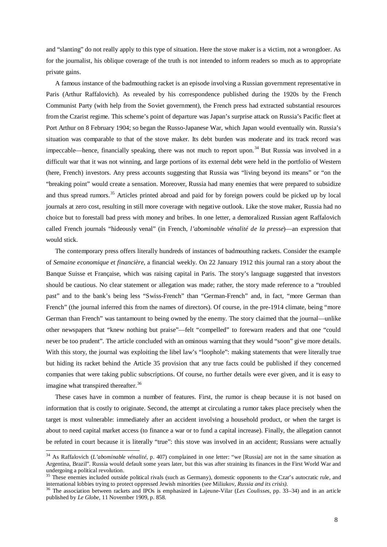and "slanting" do not really apply to this type of situation. Here the stove maker is a victim, not a wrongdoer. As for the journalist, his oblique coverage of the truth is not intended to inform readers so much as to appropriate private gains.

A famous instance of the badmouthing racket is an episode involving a Russian government representative in Paris (Arthur Raffalovich). As revealed by his correspondence published during the 1920s by the French Communist Party (with help from the Soviet government), the French press had extracted substantial resources from the Czarist regime. This scheme's point of departure was Japan's surprise attack on Russia's Pacific fleet at Port Arthur on 8 February 1904; so began the Russo-Japanese War, which Japan would eventually win. Russia's situation was comparable to that of the stove maker. Its debt burden was moderate and its track record was impeccable—hence, financially speaking, there was not much to report upon. $34$  But Russia was involved in a difficult war that it was not winning, and large portions of its external debt were held in the portfolio of Western (here, French) investors. Any press accounts suggesting that Russia was "living beyond its means" or "on the "breaking point" would create a sensation. Moreover, Russia had many enemies that were prepared to subsidize and thus spread rumors.<sup>[35](#page-8-0)</sup> Articles printed abroad and paid for by foreign powers could be picked up by local journals at zero cost, resulting in still more coverage with negative outlook. Like the stove maker, Russia had no choice but to forestall bad press with money and bribes. In one letter, a demoralized Russian agent Raffalovich called French journals "hideously venal" (in French, *l'abominable vénalité de la presse*)—an expression that would stick.

The contemporary press offers literally hundreds of instances of badmouthing rackets. Consider the example of *Semaine economique et financière*, a financial weekly. On 22 January 1912 this journal ran a story about the Banque Suisse et Française, which was raising capital in Paris. The story's language suggested that investors should be cautious. No clear statement or allegation was made; rather, the story made reference to a "troubled past" and to the bank's being less "Swiss-French" than "German-French" and, in fact, "more German than French" (the journal inferred this from the names of directors). Of course, in the pre-1914 climate, being "more German than French" was tantamount to being owned by the enemy. The story claimed that the journal—unlike other newspapers that "knew nothing but praise"—felt "compelled" to forewarn readers and that one "could never be too prudent". The article concluded with an ominous warning that they would "soon" give more details. With this story, the journal was exploiting the libel law's "loophole": making statements that were literally true but hiding its racket behind the Article 35 provision that any true facts could be published if they concerned companies that were taking public subscriptions. Of course, no further details were ever given, and it is easy to imagine what transpired thereafter.<sup>[36](#page-8-0)</sup>

These cases have in common a number of features. First, the rumor is cheap because it is not based on information that is costly to originate. Second, the attempt at circulating a rumor takes place precisely when the target is most vulnerable: immediately after an accident involving a household product, or when the target is about to need capital market access (to finance a war or to fund a capital increase). Finally, the allegation cannot be refuted in court because it is literally "true": this stove was involved in an accident; Russians were actually

<span id="page-8-0"></span><sup>&</sup>lt;sup>34</sup> As Raffalovich (*L'abominable vénalité*, p. 407) complained in one letter: "we [Russia] are not in the same situation as Argentina, Brazil". Russia would default some years later, but this was after straining its finances in the First World War and

undergoing a political revolution.<br>
<sup>35</sup> These enemies included outside political rivals (such as Germany), domestic opponents to the Czar's autocratic rule, and<br>
international lobbies trying to protect oppressed Jewish m

<sup>&</sup>lt;sup>36</sup> The association between rackets and IPOs is emphasized in Lajeune-Vilar (Les Coulisses, pp. 33–34) and in an article published by *Le Globe*, 11 November 1909, p. 858.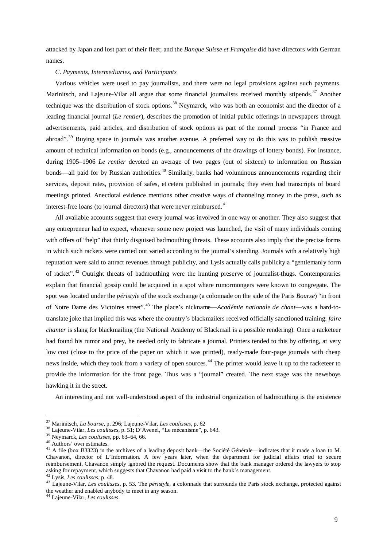attacked by Japan and lost part of their fleet; and the *Banque Suisse et Française* did have directors with German names.

#### *C. Payments, Intermediaries, and Participants*

Various vehicles were used to pay journalists, and there were no legal provisions against such payments. Marinitsch, and Lajeune-Vilar all argue that some financial journalists received monthly stipends.<sup>[37](#page-9-0)</sup> Another technique was the distribution of stock options.<sup>[38](#page-9-0)</sup> Neymarck, who was both an economist and the director of a leading financial journal (*Le rentier*), describes the promotion of initial public offerings in newspapers through advertisements, paid articles, and distribution of stock options as part of the normal process "in France and abroad".<sup>[39](#page-9-0)</sup> Buving space in journals was another avenue. A preferred way to do this was to publish massive amount of technical information on bonds (e.g., announcements of the drawings of lottery bonds). For instance, during 1905–1906 *Le rentier* devoted an average of two pages (out of sixteen) to information on Russian bonds—all paid for by Russian authorities.<sup>[40](#page-9-0)</sup> Similarly, banks had voluminous announcements regarding their services, deposit rates, provision of safes, et cetera published in journals; they even had transcripts of board meetings printed. Anecdotal evidence mentions other creative ways of channeling money to the press, such as interest-free loans (to journal directors) that were never reimbursed.<sup>[41](#page-9-0)</sup>

All available accounts suggest that every journal was involved in one way or another. They also suggest that any entrepreneur had to expect, whenever some new project was launched, the visit of many individuals coming with offers of "help" that thinly disguised badmouthing threats. These accounts also imply that the precise forms in which such rackets were carried out varied according to the journal's standing. Journals with a relatively high reputation were said to attract revenues through publicity, and Lysis actually calls publicity a "gentlemanly form of racket". [42](#page-9-0) Outright threats of badmouthing were the hunting preserve of journalist-thugs. Contemporaries explain that financial gossip could be acquired in a spot where rumormongers were known to congregate. The spot was located under the *péristyle* of the stock exchange (a colonnade on the side of the Paris *Bourse*) "in front of Notre Dame des Victoires street".[43](#page-9-0) The place's nickname—*Académie nationale de chant*—was a hard-totranslate joke that implied this was where the country's blackmailers received officially sanctioned training: *faire chanter* is slang for blackmailing (the National Academy of Blackmail is a possible rendering). Once a racketeer had found his rumor and prey, he needed only to fabricate a journal. Printers tended to this by offering, at very low cost (close to the price of the paper on which it was printed), ready-made four-page journals with cheap news inside, which they took from a variety of open sources.<sup>[44](#page-9-0)</sup> The printer would leave it up to the racketeer to provide the information for the front page. Thus was a "journal" created. The next stage was the newsboys hawking it in the street.

An interesting and not well-understood aspect of the industrial organization of badmouthing is the existence

<span id="page-9-0"></span><sup>&</sup>lt;sup>37</sup> Marinitsch, *La bourse*, p. 296; Lajeune-Vilar, *Les coulisses*, p. 62<br><sup>38</sup> Lajeune-Vilar, *Les coulisses*, p. 51; D'Avenel, "Le mécanisme", p. 643.<br><sup>39</sup> Neymarck, *Les coulisses*, pp. 63–64, 66.<br><sup>40</sup> Authors' own es Chavanon, director of L'Information. A few years later, when the department for judicial affairs tried to secure reimbursement, Chavanon simply ignored the request. Documents show that the bank manager ordered the lawyers to stop asking for repayment, which suggests that Chavanon had paid a visit to the bank's management.

<sup>&</sup>lt;sup>42</sup> Lysis, Les coulisses, p. 48.<br><sup>43</sup> Lajeune-Vilar, Les coulisses, p. 53. The *péristyle*, a colonnade that surrounds the Paris stock exchange, protected against the weather and enabled anybody to meet in any season.

<sup>44</sup> Lajeune-Vilar, *Les coulisses*.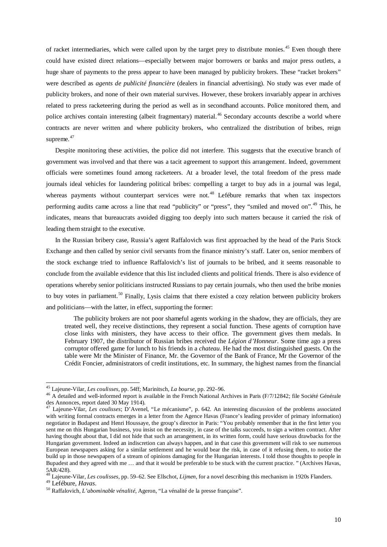of racket intermediaries, which were called upon by the target prey to distribute monies.<sup>[45](#page-10-0)</sup> Even though there could have existed direct relations—especially between major borrowers or banks and major press outlets, a huge share of payments to the press appear to have been managed by publicity brokers. These "racket brokers" were described as *agents de publicité financière* (dealers in financial advertising). No study was ever made of publicity brokers, and none of their own material survives. However, these brokers invariably appear in archives related to press racketeering during the period as well as in secondhand accounts. Police monitored them, and police archives contain interesting (albeit fragmentary) material.<sup>[46](#page-10-0)</sup> Secondary accounts describe a world where contracts are never written and where publicity brokers, who centralized the distribution of bribes, reign supreme.<sup>[47](#page-10-0)</sup>

Despite monitoring these activities, the police did not interfere. This suggests that the executive branch of government was involved and that there was a tacit agreement to support this arrangement. Indeed, government officials were sometimes found among racketeers. At a broader level, the total freedom of the press made journals ideal vehicles for laundering political bribes: compelling a target to buy ads in a journal was legal, whereas payments without counterpart services were not.<sup>[48](#page-10-0)</sup> Lefébure remarks that when tax inspectors performing audits came across a line that read "publicity" or "press", they "smiled and moved on".<sup>[49](#page-10-0)</sup> This, he indicates, means that bureaucrats avoided digging too deeply into such matters because it carried the risk of leading them straight to the executive.

In the Russian bribery case, Russia's agent Raffalovich was first approached by the head of the Paris Stock Exchange and then called by senior civil servants from the finance ministry's staff. Later on, senior members of the stock exchange tried to influence Raffalovich's list of journals to be bribed, and it seems reasonable to conclude from the available evidence that this list included clients and political friends. There is also evidence of operations whereby senior politicians instructed Russians to pay certain journals, who then used the bribe monies to buy votes in parliament.<sup>[50](#page-10-0)</sup> Finally, Lysis claims that there existed a cozy relation between publicity brokers and politicians—with the latter, in effect, supporting the former:

The publicity brokers are not poor shameful agents working in the shadow, they are officials, they are treated well, they receive distinctions, they represent a social function. These agents of corruption have close links with ministers, they have access to their office. The government gives them medals. In February 1907, the distributor of Russian bribes received the *Légion d'Honneur*. Some time ago a press corruptor offered game for lunch to his friends in a *chateau*. He had the most distinguished guests. On the table were Mr the Minister of Finance, Mr. the Governor of the Bank of France, Mr the Governor of the Crédit Foncier, administrators of credit institutions, etc. In summary, the highest names from the financial

<span id="page-10-0"></span><sup>&</sup>lt;sup>45</sup> Lajeune-Vilar, *Les coulisses*, pp. 54ff; Marinitsch, *La bourse*, pp. 292–96.<br><sup>46</sup> A detailed and well-informed report is available in the French National Archives in Paris (F/7/12842; file Société Générale<br>des Annon

<sup>&</sup>lt;sup>47</sup> Lajeune-Vilar, *Les coulisses*; D'Avenel, "Le mécanisme", p. 642. An interesting discussion of the problems associated with writing formal contracts emerges in a letter from the Agence Havas (France's leading provider of primary information) negotiator in Budapest and Henri Houssaye, the group's director in Paris: "You probably remember that in the first letter you sent me on this Hungarian business, you insist on the necessity, in case of the talks succeeds, to sign a written contract. After having thought about that, I did not hide that such an arrangement, in its written form, could have serious drawbacks for the Hungarian government. Indeed an indiscretion can always happen, and in that case this government will risk to see numerous European newspapers asking for a similar settlement and he would bear the risk, in case of it refusing them, to notice the build up in those newspapers of a stream of opinions damaging for the Hungarian interests. I told those thoughts to people in Bupadest and they agreed with me … and that it would be preferable to be stuck with the current practice. " (Archives Havas, 5AR/428).

<sup>48</sup> Lajeune-Vilar, *Les coulisses*, pp. 59–62. See Ellschot, *Lijmen*, for a novel describing this mechanism in 1920s Flanders.

<sup>49</sup> Lefébure, *Havas*. <sup>50</sup> Raffalovich, *L'abominable vénalité*, Ageron, "La vénalité de la presse française".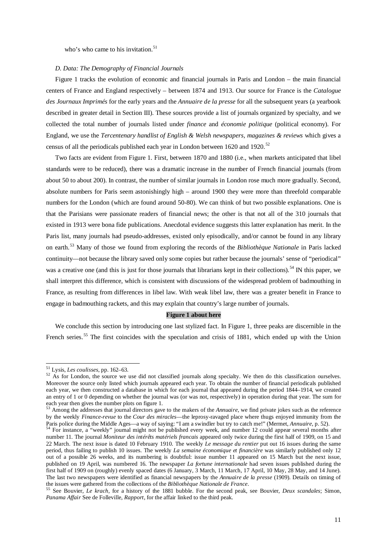who's who came to his invitation. $51$ 

#### *D. Data: The Demography of Financial Journals*

Figure 1 tracks the evolution of economic and financial journals in Paris and London – the main financial centers of France and England respectively – between 1874 and 1913. Our source for France is the *Catalogue des Journaux Imprimés* for the early years and the *Annuaire de la presse* for all the subsequent years (a yearbook described in greater detail in Section III). These sources provide a list of journals organized by specialty, and we collected the total number of journals listed under *finance* and *économie politique* (political economy). For England, we use the *Tercentenary handlist of English & Welsh newspapers, magazines & reviews* which gives a census of all the periodicals published each year in London between 1620 and 1920.<sup>[52](#page-11-0)</sup>

Two facts are evident from Figure 1. First, between 1870 and 1880 (i.e., when markets anticipated that libel standards were to be reduced), there was a dramatic increase in the number of French financial journals (from about 50 to about 200). In contrast, the number of similar journals in London rose much more gradually. Second, absolute numbers for Paris seem astonishingly high – around 1900 they were more than threefold comparable numbers for the London (which are found around 50-80). We can think of but two possible explanations. One is that the Parisians were passionate readers of financial news; the other is that not all of the 310 journals that existed in 1913 were bona fide publications. Anecdotal evidence suggests this latter explanation has merit. In the Paris list, many journals had pseudo-addresses, existed only episodically, and/or cannot be found in any library on earth.[53](#page-11-0) Many of those we found from exploring the records of the *Bibliothèque Nationale* in Paris lacked continuity—not because the library saved only some copies but rather because the journals' sense of "periodical" was a creative one (and this is just for those journals that librarians kept in their collections).<sup>[54](#page-11-0)</sup> IN this paper, we shall interpret this difference, which is consistent with discussions of the widespread problem of badmouthing in France, as resulting from differences in libel law. With weak libel law, there was a greater benefit in France to engage in badmouthing rackets, and this may explain that country's large number of journals.

#### **Figure 1 about here**

We conclude this section by introducing one last stylized fact. In Figure 1, three peaks are discernible in the French series.<sup>[55](#page-11-0)</sup> The first coincides with the speculation and crisis of 1881, which ended up with the Union

<span id="page-11-0"></span> $51$  Lysis, *Les coulisses*, pp. 162–63.<br><sup>52</sup> As for London, the source we use did not classified journals along specialty. We then do this classification ourselves. Moreover the source only listed which journals appeared each year. To obtain the number of financial periodicals published each year, we then constructed a database in which for each journal that appeared during the period 1844–1914, we created an entry of 1 or 0 depending on whether the journal was (or was not, respectively) in operation during that year. The sum for each year then gives the number plots on figure 1.

<sup>&</sup>lt;sup>53</sup> Among the addresses that journal directors gave to the makers of the *Annuaire*, we find private jokes such as the reference by the weekly *Finance-revue* to the *Cour des miracles*—the leprosy-ravaged place where thugs enjoyed immunity from the Paris police during the Middle Ages—a way of saying: "I am a swindler but try to catch me!" (Mermet, Annuaire, p. 52).<br><sup>54</sup> For instance, a "weekly" journal might not be published every week, and number 12 could appear sev

number 11. The journal *Moniteur des intérêts matériels francais* appeared only twice during the first half of 1909, on 15 and 22 March. The next issue is dated 10 February 1910. The weekly *Le message du rentier* put out 16 issues during the same period, thus failing to publish 10 issues. The weekly *La semaine économique et financière* was similarly published only 12 out of a possible 26 weeks, and its numbering is doubtful: issue number 11 appeared on 15 March but the next issue, published on 19 April, was numbered 16. The newspaper *La fortune internationale* had seven issues published during the first half of 1909 on (roughly) evenly spaced dates (6 January, 3 March, 11 March, 17 April, 10 May, 28 May, and 14 June). The last two newspapers were identified as financial newspapers by the *Annuaire de la presse* (1909). Details on timing of

<sup>55</sup> See Bouvier, *Le krach*, for a history of the 1881 bubble. For the second peak, see Bouvier, *Deux scandales*; Simon, *Panama Affair* See de Folleville, *Rapport*, for the affair linked to the third peak.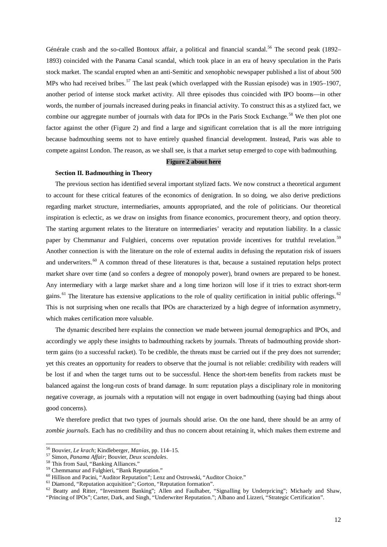Générale crash and the so-called Bontoux affair, a political and financial scandal.<sup>[56](#page-12-0)</sup> The second peak (1892– 1893) coincided with the Panama Canal scandal, which took place in an era of heavy speculation in the Paris stock market. The scandal erupted when an anti-Semitic and xenophobic newspaper published a list of about 500 MPs who had received bribes.<sup>[57](#page-12-0)</sup> The last peak (which overlapped with the Russian episode) was in 1905–1907, another period of intense stock market activity. All three episodes thus coincided with IPO booms—in other words, the number of journals increased during peaks in financial activity. To construct this as a stylized fact, we combine our aggregate number of journals with data for IPOs in the Paris Stock Exchange.<sup>[58](#page-12-0)</sup> We then plot one factor against the other (Figure 2) and find a large and significant correlation that is all the more intriguing because badmouthing seems not to have entirely quashed financial development. Instead, Paris was able to compete against London. The reason, as we shall see, is that a market setup emerged to cope with badmouthing.

## **Figure 2 about here**

#### **Section II. Badmouthing in Theory**

The previous section has identified several important stylized facts. We now construct a theoretical argument to account for these critical features of the economics of denigration. In so doing, we also derive predictions regarding market structure, intermediaries, amounts appropriated, and the role of politicians. Our theoretical inspiration is eclectic, as we draw on insights from finance economics, procurement theory, and option theory. The starting argument relates to the literature on intermediaries' veracity and reputation liability. In a classic paper by Chemmanur and Fulghieri, concerns over reputation provide incentives for truthful revelation.<sup>[59](#page-12-0)</sup> Another connection is with the literature on the role of external audits in defusing the reputation risk of issuers and underwriters.<sup>[60](#page-12-0)</sup> A common thread of these literatures is that, because a sustained reputation helps protect market share over time (and so confers a degree of monopoly power), brand owners are prepared to be honest. Any intermediary with a large market share and a long time horizon will lose if it tries to extract short-term gains.<sup>[61](#page-12-0)</sup> The literature has extensive applications to the role of quality certification in initial public offerings. <sup>[62](#page-12-0)</sup> This is not surprising when one recalls that IPOs are characterized by a high degree of information asymmetry, which makes certification more valuable.

The dynamic described here explains the connection we made between journal demographics and IPOs, and accordingly we apply these insights to badmouthing rackets by journals. Threats of badmouthing provide shortterm gains (to a successful racket). To be credible, the threats must be carried out if the prey does not surrender; yet this creates an opportunity for readers to observe that the journal is not reliable: credibility with readers will be lost if and when the target turns out to be successful. Hence the short-tem benefits from rackets must be balanced against the long-run costs of brand damage. In sum: reputation plays a disciplinary role in monitoring negative coverage, as journals with a reputation will not engage in overt badmouthing (saying bad things about good concerns).

We therefore predict that two types of journals should arise. On the one hand, there should be an army of *zombie journals*. Each has no credibility and thus no concern about retaining it, which makes them extreme and

<span id="page-12-0"></span>

<sup>&</sup>lt;sup>56</sup> Bouvier, *Le krach*; Kindleberger, *Manias*, pp. 114–15.<br><sup>57</sup> Simon, *Panama Affair*; Bouvier, *Deux scandales*.<br><sup>58</sup> This from Saul, "Banking Alliances."<br><sup>59</sup> Chemmanur and Fulghieri, "Bank Reputation."<br><sup>60</sup> Hillison "Princing of IPOs"; Carter, Dark, and Singh, "Underwriter Reputation."; Albano and Lizzeri, "Strategic Certification".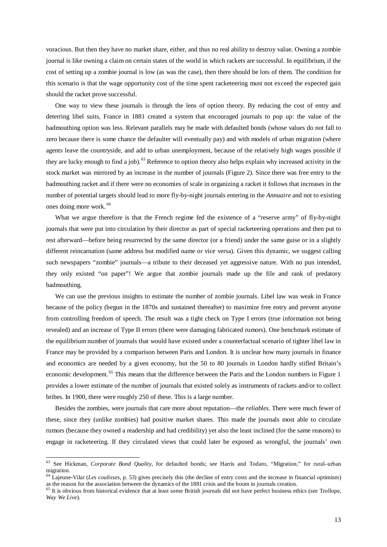voracious. But then they have no market share, either, and thus no real ability to destroy value. Owning a zombie journal is like owning a claim on certain states of the world in which rackets are successful. In equilibrium, if the cost of setting up a zombie journal is low (as was the case), then there should be lots of them. The condition for this scenario is that the wage opportunity cost of the time spent racketeering must not exceed the expected gain should the racket prove successful.

One way to view these journals is through the lens of option theory. By reducing the cost of entry and deterring libel suits, France in 1881 created a system that encouraged journals to pop up: the value of the badmouthing option was less. Relevant parallels may be made with defaulted bonds (whose values do not fall to zero because there is some chance the defaulter will eventually pay) and with models of urban migration (where agents leave the countryside, and add to urban unemployment, because of the relatively high wages possible if they are lucky enough to find a job).<sup>[63](#page-13-0)</sup> Reference to option theory also helps explain why increased activity in the stock market was mirrored by an increase in the number of journals (Figure 2). Since there was free entry to the badmouthing racket and if there were no economies of scale in organizing a racket it follows that increases in the number of potential targets should lead to more fly-by-night journals entering in the *Annuaire* and not to existing ones doing more work. [64](#page-13-0)

What we argue therefore is that the French regime fed the existence of a "reserve army" of fly-by-night journals that were put into circulation by their director as part of special racketeering operations and then put to rest afterward—before being resurrected by the same director (or a friend) under the same guise or in a slightly different reincarnation (same address but modified name or vice versa). Given this dynamic, we suggest calling such newspapers "zombie" journals—a tribute to their deceased yet aggressive nature. With no pun intended, they only existed "on paper"! We argue that zombie journals made up the file and rank of predatory badmouthing.

We can use the previous insights to estimate the number of zombie journals. Libel law was weak in France because of the policy (begun in the 1870s and sustained thereafter) to maximize free entry and prevent anyone from controlling freedom of speech. The result was a tight check on Type I errors (true information not being revealed) and an increase of Type II errors (there were damaging fabricated rumors). One benchmark estimate of the equilibrium number of journals that would have existed under a counterfactual scenario of tighter libel law in France may be provided by a comparison between Paris and London. It is unclear how many journals in finance and economics are needed by a given economy, but the 50 to 80 journals in London hardly stifled Britain's economic development.<sup>[65](#page-13-0)</sup> This means that the difference between the Paris and the London numbers in Figure 1 provides a lower estimate of the number of journals that existed solely as instruments of rackets and/or to collect bribes. In 1900, there were roughly 250 of these. This is a large number.

Besides the zombies, were journals that care more about reputation—the *reliables*. There were much fewer of these, since they (unlike zombies) had positive market shares. This made the journals most able to circulate rumors (because they owned a readership and had credibility) yet also the least inclined (for the same reasons) to engage in racketeering. If they circulated views that could later be exposed as wrongful, the journals' own

<span id="page-13-0"></span> <sup>63</sup> See Hickman, *Corporate Bond Quality*, for defaulted bonds; see Harris and Todaro, "Migration," for rural–urban migration.

<sup>64</sup> Lajeune-Vilar (*Les coulisses*, p. 53) gives precisely this (the decline of entry costs and the increase in financial optimism) as the reason for the association between the dynamics of the 1881 crisis and the boom in journals creation.

 $<sup>65</sup>$  It is obvious from historical evidence that at least some British journals did not have perfect business ethics (see Trollope,</sup> *Way We Live*).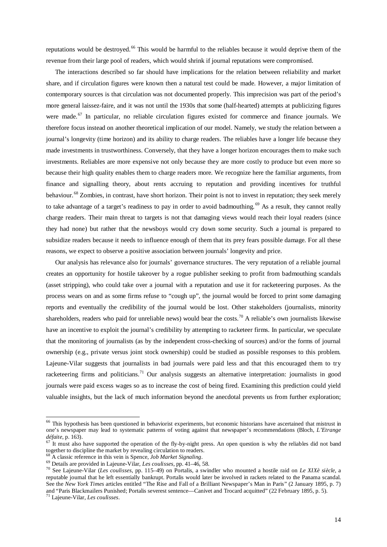reputations would be destroyed.<sup>[66](#page-14-0)</sup> This would be harmful to the reliables because it would deprive them of the revenue from their large pool of readers, which would shrink if journal reputations were compromised.

The interactions described so far should have implications for the relation between reliability and market share, and if circulation figures were known then a natural test could be made. However, a major limitation of contemporary sources is that circulation was not documented properly. This imprecision was part of the period's more general laissez-faire, and it was not until the 1930s that some (half-hearted) attempts at publicizing figures were made.<sup>[67](#page-14-0)</sup> In particular, no reliable circulation figures existed for commerce and finance journals. We therefore focus instead on another theoretical implication of our model. Namely, we study the relation between a journal's longevity (time horizon) and its ability to charge readers. The reliables have a longer life because they made investments in trustworthiness. Conversely, that they have a longer horizon encourages them to make such investments. Reliables are more expensive not only because they are more costly to produce but even more so because their high quality enables them to charge readers more. We recognize here the familiar arguments, from finance and signalling theory, about rents accruing to reputation and providing incentives for truthful behaviour.<sup>[68](#page-14-0)</sup> Zombies, in contrast, have short horizon. Their point is not to invest in reputation; they seek merely to take advantage of a target's readiness to pay in order to avoid badmouthing.<sup>[69](#page-14-0)</sup> As a result, they cannot really charge readers. Their main threat to targets is not that damaging views would reach their loyal readers (since they had none) but rather that the newsboys would cry down some security. Such a journal is prepared to subsidize readers because it needs to influence enough of them that its prey fears possible damage. For all these reasons, we expect to observe a positive association between journals' longevity and price.

Our analysis has relevance also for journals' governance structures. The very reputation of a reliable journal creates an opportunity for hostile takeover by a rogue publisher seeking to profit from badmouthing scandals (asset stripping), who could take over a journal with a reputation and use it for racketeering purposes. As the process wears on and as some firms refuse to "cough up", the journal would be forced to print some damaging reports and eventually the credibility of the journal would be lost. Other stakeholders (journalists, minority shareholders, readers who paid for unreliable news) would bear the costs.<sup>[70](#page-14-0)</sup> A reliable's own journalists likewise have an incentive to exploit the journal's credibility by attempting to racketeer firms. In particular, we speculate that the monitoring of journalists (as by the independent cross-checking of sources) and/or the forms of journal ownership (e.g., private versus joint stock ownership) could be studied as possible responses to this problem. Lajeune-Vilar suggests that journalists in bad journals were paid less and that this encouraged them to try racketeering firms and politicians.<sup>[71](#page-14-0)</sup> Our analysis suggests an alternative interpretation: journalists in good journals were paid excess wages so as to increase the cost of being fired. Examining this prediction could yield valuable insights, but the lack of much information beyond the anecdotal prevents us from further exploration;

<span id="page-14-0"></span><sup>&</sup>lt;sup>66</sup> This hypothesis has been questioned in behaviorist experiments, but economic historians have ascertained that mistrust in one's newspaper may lead to systematic patterns of voting against that newspaper's recommendations (Bloch, *L'Etrange* 

<sup>&</sup>lt;sup>67</sup> It must also have supported the operation of the fly-by-night press. An open question is why the reliables did not band together to discipline the market by revealing circulation to readers.<br><sup>68</sup> A classic reference in this vein is Spence, *Job Market Signaling*.

<sup>&</sup>lt;sup>69</sup> Details are provided in Lajeune-Vilar, Les coulisses, pp. 41–46, 58.<br><sup>70</sup> See Lajeune-Vilar (Les coulisses, pp. 115–49) on Portalis, a swindler who mounted a hostile raid on Le XIXè siècle, a reputable journal that he left essentially bankrupt. Portalis would later be involved in rackets related to the Panama scandal. See the *New York Times* articles entitled "The Rise and Fall of a Brilliant Newspaper's Man in Paris" (2 January 1895, p. 7) and "Paris Blackmailers Punished; Portalis severest sentence—Canivet and Trocard acquitted" (22 February 1895, p. 5). <sup>71</sup> Lajeune-Vilar, *Les coulisses*.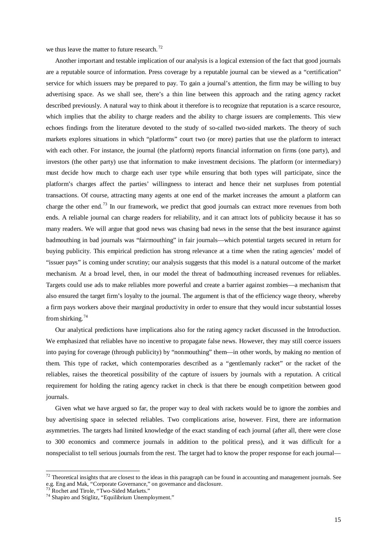we thus leave the matter to future research.<sup>[72](#page-15-0)</sup>

Another important and testable implication of our analysis is a logical extension of the fact that good journals are a reputable source of information. Press coverage by a reputable journal can be viewed as a "certification" service for which issuers may be prepared to pay. To gain a journal's attention, the firm may be willing to buy advertising space. As we shall see, there's a thin line between this approach and the rating agency racket described previously. A natural way to think about it therefore is to recognize that reputation is a scarce resource, which implies that the ability to charge readers and the ability to charge issuers are complements. This view echoes findings from the literature devoted to the study of so-called two-sided markets. The theory of such markets explores situations in which "platforms" court two (or more) parties that use the platform to interact with each other. For instance, the journal (the platform) reports financial information on firms (one party), and investors (the other party) use that information to make investment decisions. The platform (or intermediary) must decide how much to charge each user type while ensuring that both types will participate, since the platform's charges affect the parties' willingness to interact and hence their net surpluses from potential transactions. Of course, attracting many agents at one end of the market increases the amount a platform can charge the other end.[73](#page-15-0) In our framework, we predict that good journals can extract more revenues from both ends. A reliable journal can charge readers for reliability, and it can attract lots of publicity because it has so many readers. We will argue that good news was chasing bad news in the sense that the best insurance against badmouthing in bad journals was "fairmouthing" in fair journals—which potential targets secured in return for buying publicity. This empirical prediction has strong relevance at a time when the rating agencies' model of "issuer pays" is coming under scrutiny; our analysis suggests that this model is a natural outcome of the market mechanism. At a broad level, then, in our model the threat of badmouthing increased revenues for reliables. Targets could use ads to make reliables more powerful and create a barrier against zombies—a mechanism that also ensured the target firm's loyalty to the journal. The argument is that of the efficiency wage theory, whereby a firm pays workers above their marginal productivity in order to ensure that they would incur substantial losses from shirking. $74$ 

Our analytical predictions have implications also for the rating agency racket discussed in the Introduction. We emphasized that reliables have no incentive to propagate false news. However, they may still coerce issuers into paying for coverage (through publicity) by "nonmouthing" them—in other words, by making *no* mention of them. This type of racket, which contemporaries described as a "gentlemanly racket" or the racket of the reliables, raises the theoretical possibility of the capture of issuers by journals with a reputation. A critical requirement for holding the rating agency racket in check is that there be enough competition between good journals.

Given what we have argued so far, the proper way to deal with rackets would be to ignore the zombies and buy advertising space in selected reliables. Two complications arise, however. First, there are information asymmetries. The targets had limited knowledge of the exact standing of each journal (after all, there were close to 300 economics and commerce journals in addition to the political press), and it was difficult for a nonspecialist to tell serious journals from the rest. The target had to know the proper response for each journal—

<span id="page-15-0"></span> $72$  Theoretical insights that are closest to the ideas in this paragraph can be found in accounting and management journals. See e.g. Eng and Mak, "Corporate Governance," on governance and disclosure.<br><sup>73</sup> Rochet and Tirole, "Two-Sided Markets."<br><sup>74</sup> Shapiro and Stiglitz, "Equilibrium Unemployment."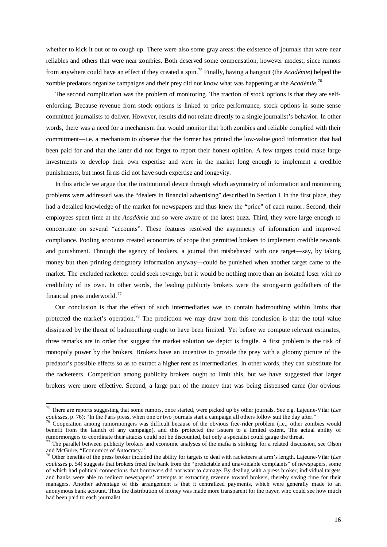whether to kick it out or to cough up. There were also some gray areas: the existence of journals that were near reliables and others that were near zombies. Both deserved some compensation, however modest, since rumors from anywhere could have an effect if they created a spin.[75](#page-16-0) Finally, having a hangout (the *Académie*) helped the zombie predators organize campaigns and their prey did not know what was happening at the *Académie*. [76](#page-16-0)

The second complication was the problem of monitoring. The traction of stock options is that they are selfenforcing. Because revenue from stock options is linked to price performance, stock options in some sense committed journalists to deliver. However, results did not relate directly to a single journalist's behavior. In other words, there was a need for a mechanism that would monitor that both zombies and reliable complied with their commitment—i.e. a mechanism to observe that the former has printed the low-value good information that had been paid for and that the latter did not forget to report their honest opinion. A few targets could make large investments to develop their own expertise and were in the market long enough to implement a credible punishments, but most firms did not have such expertise and longevity.

In this article we argue that the institutional device through which asymmetry of information and monitoring problems were addressed was the "dealers in financial advertising" described in Section I. In the first place, they had a detailed knowledge of the market for newspapers and thus knew the "price" of each rumor. Second, their employees spent time at the *Académie* and so were aware of the latest buzz. Third, they were large enough to concentrate on several "accounts". These features resolved the asymmetry of information and improved compliance. Pooling accounts created economies of scope that permitted brokers to implement credible rewards and punishment. Through the agency of brokers, a journal that misbehaved with one target—say, by taking money but then printing derogatory information anyway—could be punished when another target came to the market. The excluded racketeer could seek revenge, but it would be nothing more than an isolated loser with no credibility of its own. In other words, the leading publicity brokers were the strong-arm godfathers of the financial press underworld.<sup>[77](#page-16-0)</sup>

Our conclusion is that the effect of such intermediaries was to contain badmouthing within limits that protected the market's operation.<sup>[78](#page-16-0)</sup> The prediction we may draw from this conclusion is that the total value dissipated by the threat of badmouthing ought to have been limited. Yet before we compute relevant estimates, three remarks are in order that suggest the market solution we depict is fragile. A first problem is the risk of monopoly power by the brokers. Brokers have an incentive to provide the prey with a gloomy picture of the predator's possible effects so as to extract a higher rent as intermediaries. In other words, they can substitute for the racketeers. Competition among publicity brokers ought to limit this, but we have suggested that larger brokers were more effective. Second, a large part of the money that was being dispensed came (for obvious

<span id="page-16-0"></span> <sup>75</sup> There are reports suggesting that some rumors, once started, were picked up by other journals. See e.g. Lajeune-Vilar (*Les* 

Cooperation among rumormongers was difficult because of the obvious free-rider problem (i.e., other zombies would benefit from the launch of any campaign), and this protected the issuers to a limited extent. The actual ability of rumormongers to coordinate their attacks could not be discounted, but only a specialist could gauge the threat.

 $77$  The parallel between publicity brokers and economic analyses of the mafia is striking; for a related discussion, see Olson and McGuire, "Economics of Autocracy."

<sup>78</sup> Other benefits of the press broker included the ability for targets to deal with racketeers at arm's length. Lajeune-Vilar (*Les coulisses* p. 54) suggests that brokers freed the bank from the "predictable and unavoidable complaints" of newspapers, some of which had political connections that borrowers did not want to damage. By dealing with a press broker, individual targets and banks were able to redirect newspapers' attempts at extracting revenue toward brokers, thereby saving time for their managers. Another advantage of this arrangement is that it centralized payments, which were generally made to an anonymous bank account. Thus the distribution of money was made more transparent for the payer, who could see how much had been paid to each journalist.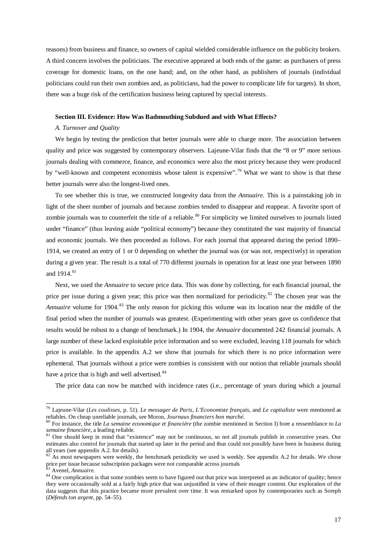reasons) from business and finance, so owners of capital wielded considerable influence on the publicity brokers. A third concern involves the politicians. The executive appeared at both ends of the game: as purchasers of press coverage for domestic loans, on the one hand; and, on the other hand, as publishers of journals (individual politicians could run their own zombies and, as politicians, had the power to complicate life for targets). In short, there was a huge risk of the certification business being captured by special interests.

#### **Section III. Evidence: How Was Badmouthing Subdued and with What Effects?**

#### *A. Turnover and Quality*

We begin by testing the prediction that better journals were able to charge more. The association between quality and price was suggested by contemporary observers. Lajeune-Vilar finds that the "8 or 9" more serious journals dealing with commerce, finance, and economics were also the most pricey because they were produced by "well-known and competent economists whose talent is expensive".<sup>[79](#page-17-0)</sup> What we want to show is that these better journals were also the longest-lived ones.

To see whether this is true, we constructed longevity data from the *Annuaire*. This is a painstaking job in light of the sheer number of journals and because zombies tended to disappear and reappear. A favorite sport of zombie journals was to counterfeit the title of a reliable.<sup>[80](#page-17-0)</sup> For simplicity we limited ourselves to journals listed under "finance" (thus leaving aside "political economy") because they constituted the vast majority of financial and economic journals. We then proceeded as follows. For each journal that appeared during the period 1890– 1914, we created an entry of 1 or 0 depending on whether the journal was (or was not, respectively) in operation during a given year. The result is a total of 770 different journals in operation for at least one year between 1890 and 1914. [81](#page-17-0)

Next, we used the *Annuaire* to secure price data. This was done by collecting, for each financial journal, the price per issue during a given year; this price was then normalized for periodicity.<sup>[82](#page-17-0)</sup> The chosen year was the *Annuaire* volume for 1904.<sup>[83](#page-17-0)</sup> The only reason for picking this volume was its location near the middle of the final period when the number of journals was greatest. (Experimenting with other years gave us confidence that results would be robust to a change of benchmark.) In 1904, the *Annuaire* documented 242 financial journals. A large number of these lacked exploitable price information and so were excluded, leaving 118 journals for which price is available. In the appendix A.2 we show that journals for which there is no price information were ephemeral. That journals without a price were zombies is consistent with our notion that reliable journals should have a price that is high and well advertised.<sup>[84](#page-17-0)</sup>

The price data can now be matched with incidence rates (i.e., percentage of years during which a journal

<span id="page-17-0"></span> <sup>79</sup> Lajeune-Vilar (*Les coulisses*, p. 51). *Le messager de Paris*, *L'Economiste français*, and *Le capitaliste* were mentioned as

reliables. On cheap unreliable journals, see Moron, *Journaux financiers bon marché*.<br><sup>80</sup> For instance, the title *La semaine economique et financière* (the zombie mentioned in Section I) bore a ressemblance to *La semain* 

<sup>&</sup>lt;sup>81</sup> One should keep in mind that "existence" may not be continuous, so not all journals publish in consecutive years. Our estimates also control for journals that started up later in the period and thus could not possibly have been in business during all years (see appendix A.2. for details).

 $\frac{1}{82}$  As most newspapers were weekly, the benchmark periodicity we used is weekly. See appendix A.2 for details. We chose price per issue because subscription packages were not comparable across journals <sup>83</sup> Avenel, *Annuaire*.

<sup>&</sup>lt;sup>84</sup> One complication is that some zombies seem to have figured out that price was interpreted as an indicator of quality; hence they were occasionally sold at a fairly high price that was unjustified in view of their meager content. Our exploration of the data suggests that this practice became more prevalent over time. It was remarked upon by contemporaries such as Soreph (*Défends ton argent*, pp. 54–55).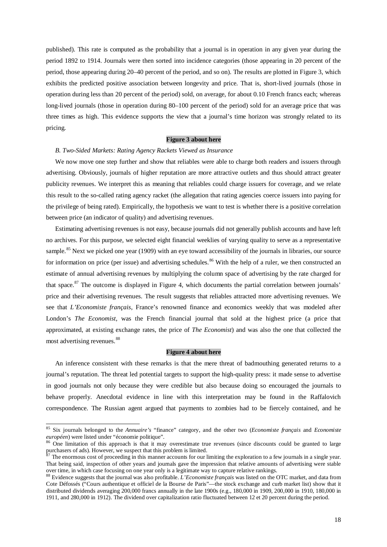published). This rate is computed as the probability that a journal is in operation in any given year during the period 1892 to 1914. Journals were then sorted into incidence categories (those appearing in 20 percent of the period, those appearing during 20–40 percent of the period, and so on). The results are plotted in Figure 3, which exhibits the predicted positive association between longevity and price. That is, short-lived journals (those in operation during less than 20 percent of the period) sold, on average, for about 0.10 French francs each; whereas long-lived journals (those in operation during 80–100 percent of the period) sold for an average price that was three times as high. This evidence supports the view that a journal's time horizon was strongly related to its pricing.

# **Figure 3 about here**

#### *B. Two-Sided Markets: Rating Agency Rackets Viewed as Insurance*

We now move one step further and show that reliables were able to charge both readers and issuers through advertising. Obviously, journals of higher reputation are more attractive outlets and thus should attract greater publicity revenues. We interpret this as meaning that reliables could charge issuers for coverage, and we relate this result to the so-called rating agency racket (the allegation that rating agencies coerce issuers into paying for the privilege of being rated). Empirically, the hypothesis we want to test is whether there is a positive correlation between price (an indicator of quality) and advertising revenues.

Estimating advertising revenues is not easy, because journals did not generally publish accounts and have left no archives. For this purpose, we selected eight financial weeklies of varying quality to serve as a representative sample.<sup>[85](#page-18-0)</sup> Next we picked one year (1909) with an eye toward accessibility of the journals in libraries, our source for information on price (per issue) and advertising schedules.<sup>[86](#page-18-0)</sup> With the help of a ruler, we then constructed an estimate of annual advertising revenues by multiplying the column space of advertising by the rate charged for that space.<sup>[87](#page-18-0)</sup> The outcome is displayed in Figure 4, which documents the partial correlation between journals' price and their advertising revenues. The result suggests that reliables attracted more advertising revenues. We see that *L'Economiste français*, France's renowned finance and economics weekly that was modeled after London's *The Economist*, was the French financial journal that sold at the highest price (a price that approximated, at existing exchange rates, the price of *The Economist*) and was also the one that collected the most advertising revenues.<sup>[88](#page-18-0)</sup>

# **Figure 4 about here**

An inference consistent with these remarks is that the mere threat of badmouthing generated returns to a journal's reputation. The threat led potential targets to support the high-quality press: it made sense to advertise in good journals not only because they were credible but also because doing so encouraged the journals to behave properly. Anecdotal evidence in line with this interpretation may be found in the Raffalovich correspondence. The Russian agent argued that payments to zombies had to be fiercely contained, and he

<span id="page-18-0"></span> <sup>85</sup> Six journals belonged to the *Annuaire's* "finance" category, and the other two (*Economiste français* and *Economiste* 

<sup>&</sup>lt;sup>86</sup> One limitation of this approach is that it may overestimate true revenues (since discounts could be granted to large purchasers of ads). However, we suspect that this problem is limited.

 $87$  The enormous cost of proceeding in this manner accounts for our limiting the exploration to a few journals in a single year. That being said, inspection of other years and journals gave the impression that relative amounts of advertising were stable over time, in which case focusing on one year only is a legitimate way to capture relative rankin

 $88$  Evidence suggests that the journal was also profitable. L'Economiste français was listed on the OTC market, and data from Cote Défossés ("Cours authentique et officiel de la Bourse de Paris"—the stock exchange and curb market list) show that it distributed dividends averaging 200,000 francs annually in the late 1900s (e.g., 180,000 in 1909, 200,000 in 1910, 180,000 in 1911, and 280,000 in 1912). The dividend over capitalization ratio fluctuated between 12 et 20 percent during the period.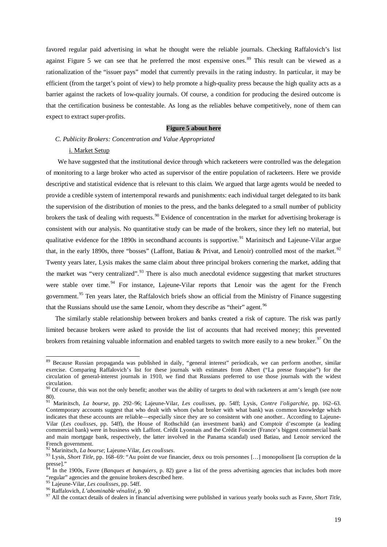favored regular paid advertising in what he thought were the reliable journals. Checking Raffalovich's list against Figure 5 we can see that he preferred the most expensive ones.<sup>[89](#page-19-0)</sup> This result can be viewed as a rationalization of the "issuer pays" model that currently prevails in the rating industry. In particular, it may be efficient (from the target's point of view) to help promote a high-quality press because the high quality acts as a barrier against the rackets of low-quality journals. Of course, a condition for producing the desired outcome is that the certification business be contestable. As long as the reliables behave competitively, none of them can expect to extract super-profits.

# **Figure 5 about here**

## *C. Publicity Brokers: Concentration and Value Appropriated*

#### i. Market Setup

We have suggested that the institutional device through which racketeers were controlled was the delegation of monitoring to a large broker who acted as supervisor of the entire population of racketeers. Here we provide descriptive and statistical evidence that is relevant to this claim. We argued that large agents would be needed to provide a credible system of intertemporal rewards and punishments: each individual target delegated to its bank the supervision of the distribution of monies to the press, and the banks delegated to a small number of publicity brokers the task of dealing with requests.<sup>[90](#page-19-0)</sup> Evidence of concentration in the market for advertising brokerage is consistent with our analysis. No quantitative study can be made of the brokers, since they left no material, but qualitative evidence for the 1890s in secondhand accounts is supportive.<sup>[91](#page-19-0)</sup> Marinitsch and Lajeune-Vilar argue that, in the early 1890s, three "bosses" (Laffont, Batiau & Privat, and Lenoir) controlled most of the market.<sup>[92](#page-19-0)</sup> Twenty years later, Lysis makes the same claim about three principal brokers cornering the market, adding that the market was "very centralized".<sup>[93](#page-19-0)</sup> There is also much anecdotal evidence suggesting that market structures were stable over time.<sup>[94](#page-19-0)</sup> For instance, Lajeune-Vilar reports that Lenoir was the agent for the French government.[95](#page-19-0) Ten years later, the Raffalovich briefs show an official from the Ministry of Finance suggesting that the Russians should use the same Lenoir, whom they describe as "their" agent.<sup>[96](#page-19-0)</sup>

The similarly stable relationship between brokers and banks created a risk of capture. The risk was partly limited because brokers were asked to provide the list of accounts that had received money; this prevented brokers from retaining valuable information and enabled targets to switch more easily to a new broker.<sup>[97](#page-19-0)</sup> On the

<span id="page-19-0"></span><sup>&</sup>lt;sup>89</sup> Because Russian propaganda was published in daily, "general interest" periodicals, we can perform another, similar exercise. Comparing Raffalovich's list for these journals with estimates from Albert ("La presse française") for the circulation of general-interest journals in 1910, we find that Russians preferred to use those journals with the widest circulation.

<sup>&</sup>lt;sup>90</sup> Of course, this was not the only benefit; another was the ability of targets to deal with racketeers at arm's length (see note 80).

<sup>91</sup> Marinitsch, *La bourse*, pp. 292–96; Lajeune-Vilar, *Les coulisses*, pp. 54ff; Lysis, *Contre l'oligarchie*, pp. 162–63. Contemporary accounts suggest that who dealt with whom (what broker with what bank) was common knowledge which indicates that these accounts are reliable—especially since they are so consistent with one another.. According to Lajeune-Vilar (*Les coulisses*, pp. 54ff), the House of Rothschild (an investment bank) and Comptoir d'escompte (a leading commercial bank) were in business with Laffont. Crédit Lyonnais and the Crédit Foncier (France's biggest commercial bank and main mortgage bank, respectively, the latter involved in the Panama scandal) used Batiau, and Lenoir serviced the

French government. <sup>92</sup> Marinitsch, *La bourse*; Lajeune-Vilar, *Les coulisses*. <sup>93</sup> Lysis, *Short Title*, pp. 168–69: "Au point de vue financier, deux ou trois personnes […] monopolisent [la corruption de la presse]."

<sup>&</sup>lt;sup>54</sup> In the 1900s, Favre (*Banques et banquiers*, p. 82) gave a list of the press advertising agencies that includes both more "regular" agencies and the genuine brokers described here. <sup>95</sup> Lajeune-Vilar, *Les coulisses*, pp. 54ff. <sup>96</sup> Raffalovich, *L'abominable vénalité*, p. 90

<sup>97</sup> All the contact details of dealers in financial advertising were published in various yearly books such as Favre, *Short Title*,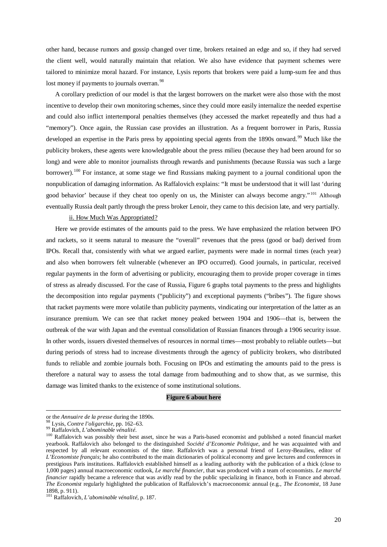other hand, because rumors and gossip changed over time, brokers retained an edge and so, if they had served the client well, would naturally maintain that relation. We also have evidence that payment schemes were tailored to minimize moral hazard. For instance, Lysis reports that brokers were paid a lump-sum fee and thus lost money if payments to journals overran.<sup>[98](#page-20-0)</sup>

A corollary prediction of our model is that the largest borrowers on the market were also those with the most incentive to develop their own monitoring schemes, since they could more easily internalize the needed expertise and could also inflict intertemporal penalties themselves (they accessed the market repeatedly and thus had a "memory"). Once again, the Russian case provides an illustration. As a frequent borrower in Paris, Russia developed an expertise in the Paris press by appointing special agents from the 1890s onward.<sup>[99](#page-20-1)</sup> Much like the publicity brokers, these agents were knowledgeable about the press milieu (because they had been around for so long) and were able to monitor journalists through rewards and punishments (because Russia was such a large borrower).<sup>[100](#page-20-1)</sup> For instance, at some stage we find Russians making payment to a journal conditional upon the nonpublication of damaging information. As Raffalovich explains: "It must be understood that it will last 'during good behavior' because if they cheat too openly on us, the Minister can always become angry." [101](#page-20-1) Although eventually Russia dealt partly through the press broker Lenoir, they came to this decision late, and very partially.

#### ii. How Much Was Appropriated?

Here we provide estimates of the amounts paid to the press. We have emphasized the relation between IPO and rackets, so it seems natural to measure the "overall" revenues that the press (good or bad) derived from IPOs. Recall that, consistently with what we argued earlier, payments were made in normal times (each year) and also when borrowers felt vulnerable (whenever an IPO occurred). Good journals, in particular, received regular payments in the form of advertising or publicity, encouraging them to provide proper coverage in times of stress as already discussed. For the case of Russia, Figure 6 graphs total payments to the press and highlights the decomposition into regular payments ("publicity") and exceptional payments ("bribes"). The figure shows that racket payments were more volatile than publicity payments, vindicating our interpretation of the latter as an insurance premium. We can see that racket money peaked between 1904 and 1906—that is, between the outbreak of the war with Japan and the eventual consolidation of Russian finances through a 1906 security issue. In other words, issuers divested themselves of resources in normal times—most probably to reliable outlets—but during periods of stress had to increase divestments through the agency of publicity brokers, who distributed funds to reliable and zombie journals both. Focusing on IPOs and estimating the amounts paid to the press is therefore a natural way to assess the total damage from badmouthing and to show that, as we surmise, this damage was limited thanks to the existence of some institutional solutions.

## **Figure 6 about here**

-

<span id="page-20-1"></span><span id="page-20-0"></span>or the Annuaire de la presse during the 1890s.<br><sup>98</sup> Lysis, *Contre l'oligarchie*, pp. 162–63.<br><sup>99</sup> Raffalovich, *L'abominable vénalité*.<br><sup>100</sup> Raffalovich was possibly their best asset, since he was a Paris-based economist yearbook. Raffalovich also belonged to the distinguished *Société d'Economie Politique*, and he was acquainted with and respected by all relevant economists of the time. Raffalovich was a personal friend of Leroy-Beaulieu, editor of *L'Economiste français*; he also contributed to the main dictionaries of political economy and gave lectures and conferences in prestigious Paris institutions. Raffalovich established himself as a leading authority with the publication of a thick (close to 1,000 pages) annual macroeconomic outlook, *Le marché financier*, that was produced with a team of economists. *Le marché financier* rapidly became a reference that was avidly read by the public specializing in finance, both in France and abroad. *The Economist* regularly highlighted the publication of Raffalovich's macroeconomic annual (e.g., *The Economist*, 18 June 1898, p. 911).

<sup>101</sup> Raffalovich, *L'abominable vénalité*, p. 187.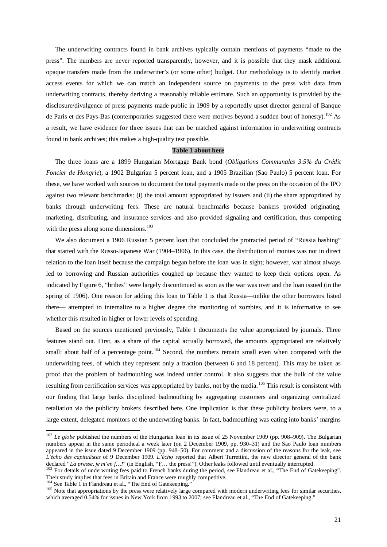The underwriting contracts found in bank archives typically contain mentions of payments "made to the press". The numbers are never reported transparently, however, and it is possible that they mask additional opaque transfers made from the underwriter's (or some other) budget. Our methodology is to identify market access events for which we can match an independent source on payments to the press with data from underwriting contracts, thereby deriving a reasonably reliable estimate. Such an opportunity is provided by the disclosure/divulgence of press payments made public in 1909 by a reportedly upset director general of Banque de Paris et des Pays-Bas (contemporaries suggested there were motives beyond a sudden bout of honesty).<sup>[102](#page-21-0)</sup> As a result, we have evidence for three issues that can be matched against information in underwriting contracts found in bank archives; this makes a high-quality test possible.

#### **Table 1 about here**

The three loans are a 1899 Hungarian Mortgage Bank bond (*Obligations Communales 3.5% du Crédit Foncier de Hongrie*), a 1902 Bulgarian 5 percent loan, and a 1905 Brazilian (Sao Paulo) 5 percent loan. For these, we have worked with sources to document the total payments made to the press on the occasion of the IPO against two relevant benchmarks: (i) the total amount appropriated by issuers and (ii) the share appropriated by banks through underwriting fees. These are natural benchmarks because bankers provided originating, marketing, distributing, and insurance services and also provided signaling and certification, thus competing with the press along some dimensions.<sup>[103](#page-21-0)</sup>

We also document a 1906 Russian 5 percent loan that concluded the protracted period of "Russia bashing" that started with the Russo-Japanese War (1904–1906). In this case, the distribution of monies was not in direct relation to the loan itself because the campaign began before the loan was in sight; however, war almost always led to borrowing and Russian authorities coughed up because they wanted to keep their options open. As indicated by Figure 6, "bribes" were largely discontinued as soon as the war was over and the loan issued (in the spring of 1906). One reason for adding this loan to Table 1 is that Russia—unlike the other borrowers listed there— attempted to internalize to a higher degree the monitoring of zombies, and it is informative to see whether this resulted in higher or lower levels of spending.

Based on the sources mentioned previously, Table 1 documents the value appropriated by journals. Three features stand out. First, as a share of the capital actually borrowed, the amounts appropriated are relatively small: about half of a percentage point.<sup>[104](#page-21-0)</sup> Second, the numbers remain small even when compared with the underwriting fees, of which they represent only a fraction (between 6 and 18 percent). This may be taken as proof that the problem of badmouthing was indeed under control. It also suggests that the bulk of the value resulting from certification services was appropriated by banks, not by the media.<sup>[105](#page-21-0)</sup> This result is consistent with our finding that large banks disciplined badmouthing by aggregating customers and organizing centralized retaliation via the publicity brokers described here. One implication is that these publicity brokers were, to a large extent, delegated monitors of the underwriting banks. In fact, badmouthing was eating into banks' margins

<span id="page-21-0"></span><sup>&</sup>lt;sup>102</sup> *Le globe* published the numbers of the Hungarian loan in its issue of 25 November 1909 (pp. 908–909). The Bulgarian numbers appear in the same periodical a week later (on 2 December 1909, pp. 930–31) and the Sao Paulo loan numbers appeared in the issue dated 9 December 1909 (pp. 948–50). For comment and a discussion of the reasons for the leak, see *L'écho des capitalistes* of 9 December 1909. *L'écho* reported that Albert Turrettini, the new director general of the bank declared "*La presse, je m'en f...!*" (in English, "F... the press!"). Other leaks followed until

<sup>&</sup>lt;sup>103</sup> For details of underwriting fees paid to French banks during the period, see Flandreau et al., "The End of Gatekeeping". Their study implies that fees in Britain and France were roughly competitive.<br><sup>104</sup> See Table 1 in Flandreau et al., "The End of Gatekeeping."

<sup>105</sup> Note that appropriations by the press were relatively large compared with modern underwriting fees for similar securities, which averaged 0.54% for issues in New York from 1993 to 2007; see Flandreau et al., "The End of Gatekeeping."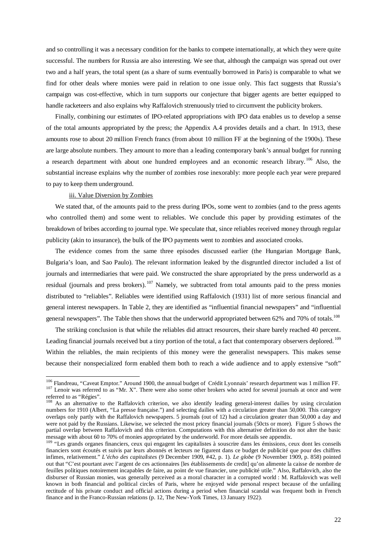and so controlling it was a necessary condition for the banks to compete internationally, at which they were quite successful. The numbers for Russia are also interesting. We see that, although the campaign was spread out over two and a half years, the total spent (as a share of sums eventually borrowed in Paris) is comparable to what we find for other deals where monies were paid in relation to one issue only. This fact suggests that Russia's campaign was cost-effective, which in turn supports our conjecture that bigger agents are better equipped to handle racketeers and also explains why Raffalovich strenuously tried to circumvent the publicity brokers.

Finally, combining our estimates of IPO-related appropriations with IPO data enables us to develop a sense of the total amounts appropriated by the press; the Appendix A.4 provides details and a chart. In 1913, these amounts rose to about 20 million French francs (from about 10 million FF at the beginning of the 1900s). These are large absolute numbers. They amount to more than a leading contemporary bank's annual budget for running a research department with about one hundred employees and an economic research library. [106](#page-22-0) Also, the substantial increase explains why the number of zombies rose inexorably: more people each year were prepared to pay to keep them underground.

#### iii. Value Diversion by Zombies

We stated that, of the amounts paid to the press during IPOs, some went to zombies (and to the press agents who controlled them) and some went to reliables. We conclude this paper by providing estimates of the breakdown of bribes according to journal type. We speculate that, since reliables received money through regular publicity (akin to insurance), the bulk of the IPO payments went to zombies and associated crooks.

The evidence comes from the same three episodes discussed earlier (the Hungarian Mortgage Bank, Bulgaria's loan, and Sao Paulo). The relevant information leaked by the disgruntled director included a list of journals and intermediaries that were paid. We constructed the share appropriated by the press underworld as a residual (journals and press brokers).<sup>[107](#page-22-0)</sup> Namely, we subtracted from total amounts paid to the press monies distributed to "reliables". Reliables were identified using Raffalovich (1931) list of more serious financial and general interest newspapers. In Table 2, they are identified as "influential financial newspapers" and "influential general newspapers". The Table then shows that the underworld appropriated between 62% and 70% of totals.<sup>108</sup>

The striking conclusion is that while the reliables did attract resources, their share barely reached 40 percent. Leading financial journals received but a tiny portion of the total, a fact that contemporary observers deplored. <sup>[109](#page-22-0)</sup> Within the reliables, the main recipients of this money were the generalist newspapers. This makes sense because their nonspecialized form enabled them both to reach a wide audience and to apply extensive "soft"

<span id="page-22-0"></span><sup>&</sup>lt;sup>106</sup> Flandreau, "Caveat Emptor." Around 1900, the annual budget of Crédit Lyonnais' research department was 1 million FF.<br><sup>107</sup> Lenoir was referred to as "Mr. X". There were also some other brokers who acted for several referred to as "Régies".

<sup>&</sup>lt;sup>108</sup> As an alternative to the Raffalovich criterion, we also identify leading general-interest dailies by using circulation numbers for 1910 (Albert, "La presse française.") and selecting dailies with a circulation greater than 50,000. This category overlaps only partly with the Raffalovich newspapers. 5 journals (out of 12) had a circulation greater than 50,000 a day and were not paid by the Russians. Likewise, we selected the most pricey financial journals (50cts or more). Figure 5 shows the partial overlap between Raffalovich and this criterion. Computations with this alternative definition do not alter the basic message with about 60 to 70% of monies appropriated by the underworld. For more details see appendix.

<sup>&</sup>lt;sup>109</sup> "Les grands organes financiers, ceux qui engagent les capitalistes à souscrire dans les émissions, ceux dont les conseils financiers sont écoutés et suivis par leurs abonnés et lecteurs ne figurent dans ce budget de publicité que pour des chiffres infimes, relativement." *L'écho des capitalistes* (9 December 1909, #42, p. 1). *Le globe* (9 November 1909, p. 858) pointed out that "C'est pourtant avec l'argent de ces actionnaires [les établissements de credit] qu'on alimente la caisse de nombre de feuilles politiques notoirement incapables de faire, au point de vue financier, une publicité utile." Also, Raffalovich, also the disburser of Russian monies, was generally perceived as a moral character in a corrupted world : M. Raffalovich was well known in both financial and political circles of Paris, where he enjoyed wide personal respect because of the unfailing rectitude of his private conduct and official actions during a period when financial scandal was frequent both in French finance and in the Franco-Russian relations (p. 12, The New-York Times, 13 January 1922).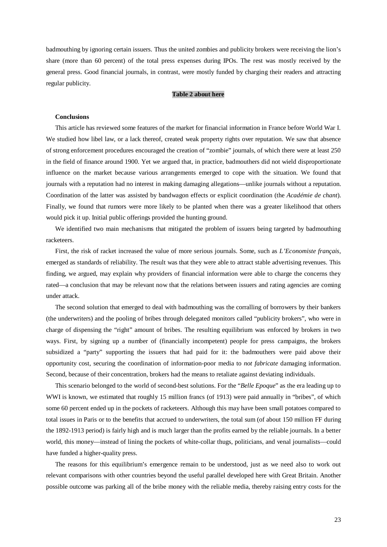badmouthing by ignoring certain issuers. Thus the united zombies and publicity brokers were receiving the lion's share (more than 60 percent) of the total press expenses during IPOs. The rest was mostly received by the general press. Good financial journals, in contrast, were mostly funded by charging their readers and attracting regular publicity.

#### **Table 2 about here**

#### **Conclusions**

This article has reviewed some features of the market for financial information in France before World War I. We studied how libel law, or a lack thereof, created weak property rights over reputation. We saw that absence of strong enforcement procedures encouraged the creation of "zombie" journals, of which there were at least 250 in the field of finance around 1900. Yet we argued that, in practice, badmouthers did not wield disproportionate influence on the market because various arrangements emerged to cope with the situation. We found that journals with a reputation had no interest in making damaging allegations—unlike journals without a reputation. Coordination of the latter was assisted by bandwagon effects or explicit coordination (the *Académie de chant*). Finally, we found that rumors were more likely to be planted when there was a greater likelihood that others would pick it up. Initial public offerings provided the hunting ground.

We identified two main mechanisms that mitigated the problem of issuers being targeted by badmouthing racketeers.

First, the risk of racket increased the value of more serious journals. Some, such as *L'Economiste français*, emerged as standards of reliability. The result was that they were able to attract stable advertising revenues. This finding, we argued, may explain why providers of financial information were able to charge the concerns they rated—a conclusion that may be relevant now that the relations between issuers and rating agencies are coming under attack.

The second solution that emerged to deal with badmouthing was the corralling of borrowers by their bankers (the underwriters) and the pooling of bribes through delegated monitors called "publicity brokers", who were in charge of dispensing the "right" amount of bribes. The resulting equilibrium was enforced by brokers in two ways. First, by signing up a number of (financially incompetent) people for press campaigns, the brokers subsidized a "party" supporting the issuers that had paid for it: the badmouthers were paid above their opportunity cost, securing the coordination of information-poor media to *not fabricate* damaging information. Second, because of their concentration, brokers had the means to retaliate against deviating individuals.

This scenario belonged to the world of second-best solutions. For the "*Belle Epoque*" as the era leading up to WWI is known, we estimated that roughly 15 million francs (of 1913) were paid annually in "bribes", of which some 60 percent ended up in the pockets of racketeers. Although this may have been small potatoes compared to total issues in Paris or to the benefits that accrued to underwriters, the total sum (of about 150 million FF during the 1892-1913 period) is fairly high and is much larger than the profits earned by the reliable journals. In a better world, this money—instead of lining the pockets of white-collar thugs, politicians, and venal journalists—could have funded a higher-quality press.

The reasons for this equilibrium's emergence remain to be understood, just as we need also to work out relevant comparisons with other countries beyond the useful parallel developed here with Great Britain. Another possible outcome was parking all of the bribe money with the reliable media, thereby raising entry costs for the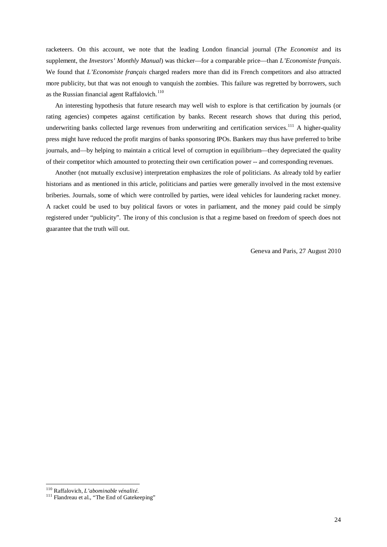racketeers. On this account, we note that the leading London financial journal (*The Economist* and its supplement, the *Investors' Monthly Manual*) was thicker—for a comparable price—than *L'Economiste français*. We found that *L'Economiste français* charged readers more than did its French competitors and also attracted more publicity, but that was not enough to vanquish the zombies. This failure was regretted by borrowers, such as the Russian financial agent Raffalovich. $110$ 

An interesting hypothesis that future research may well wish to explore is that certification by journals (or rating agencies) competes against certification by banks. Recent research shows that during this period, underwriting banks collected large revenues from underwriting and certification services.<sup>[111](#page-24-0)</sup> A higher-quality press might have reduced the profit margins of banks sponsoring IPOs. Bankers may thus have preferred to bribe journals, and—by helping to maintain a critical level of corruption in equilibrium—they depreciated the quality of their competitor which amounted to protecting their own certification power -- and corresponding revenues.

Another (not mutually exclusive) interpretation emphasizes the role of politicians. As already told by earlier historians and as mentioned in this article, politicians and parties were generally involved in the most extensive briberies. Journals, some of which were controlled by parties, were ideal vehicles for laundering racket money. A racket could be used to buy political favors or votes in parliament, and the money paid could be simply registered under "publicity". The irony of this conclusion is that a regime based on freedom of speech does not guarantee that the truth will out.

Geneva and Paris, 27 August 2010

<span id="page-24-0"></span><sup>&</sup>lt;sup>110</sup> Raffalovich, *L'abominable vénalité*.<br><sup>111</sup> Flandreau et al., "The End of Gatekeeping"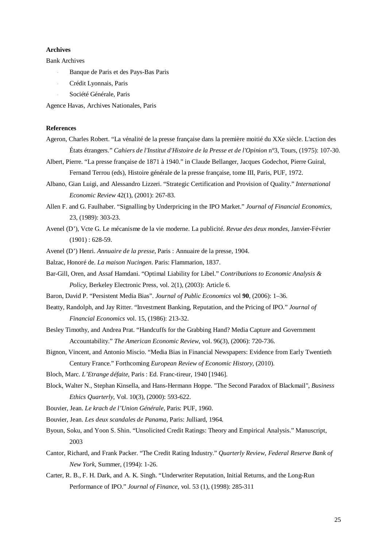## **Archives**

Bank Archives

- Banque de Paris et des Pays-Bas Paris
- Crédit Lyonnais, Paris
- Société Générale, Paris

Agence Havas, Archives Nationales, Paris

#### **References**

- Ageron, Charles Robert. "La vénalité de la presse française dans la première moitié du XXe siècle. L'action des États étrangers." *Cahiers de l'Institut d'Histoire de la Presse et de l'Opinion* n°3, Tours, (1975): 107-30.
- Albert, Pierre. "La presse française de 1871 à 1940." in Claude Bellanger, Jacques Godechot, Pierre Guiral, Fernand Terrou (eds), Histoire générale de la presse française, tome III, Paris, PUF, 1972.
- Albano, Gian Luigi, and Alessandro Lizzeri. "Strategic Certification and Provision of Quality." *International Economic Review* 42(1), (2001): 267-83.
- Allen F. and G. Faulhaber. "Signalling by Underpricing in the IPO Market." *Journal of Financial Economics*, 23, (1989): 303-23.
- Avenel (D'), Vcte G. Le mécanisme de la vie moderne. La publicité. *Revue des deux mondes*, Janvier-Février  $(1901): 628-59.$
- Avenel (D') Henri. *Annuaire de la presse*, Paris : Annuaire de la presse, 1904.
- Balzac, Honoré de. *La maison Nucingen*. Paris: Flammarion, 1837.
- Bar-Gill, Oren, and Assaf Hamdani. "Optimal Liability for Libel." *Contributions to Economic Analysis & Policy*, Berkeley Electronic Press, vol. 2(1), (2003): Article 6.
- Baron, David P. "Persistent Media Bias". *Journal of Public Economics* vol **90**, (2006): 1–36.
- Beatty, Randolph, and Jay Ritter. "Investment Banking, Reputation, and the Pricing of IPO." *Journal of Financial Economics* vol. 15, (1986): 213-32.
- Besley Timothy, and Andrea Prat. "Handcuffs for the Grabbing Hand? Media Capture and Government Accountability." *The American Economic Review*, vol. 96(3), (2006): 720-736.
- Bignon, Vincent, and Antonio Miscio. "Media Bias in Financial Newspapers: Evidence from Early Twentieth Century France." Forthcoming *European Review of Economic History*, (2010).
- Bloch, Marc. *L'Etrange défaite*, Paris : Ed. Franc-tireur, 1940 [1946].
- Block, Walter N., Stephan Kinsella, and Hans-Hermann Hoppe. "The Second Paradox of Blackmail", *Business Ethics Quarterly*, Vol. 10(3), (2000): 593-622.
- Bouvier, Jean. *Le krach de l'Union Générale*, Paris: PUF, 1960.
- Bouvier, Jean. *Les deux scandales de Panama*, Paris: Julliard, 1964.
- Byoun, Soku, and Yoon S. Shin. "Unsolicited Credit Ratings: Theory and Empirical Analysis." Manuscript, 2003
- Cantor, Richard, and Frank Packer. "The Credit Rating Industry." *Quarterly Review, Federal Reserve Bank of New York*, Summer, (1994): 1-26.
- Carter, R. B., F. H. Dark, and A. K. Singh. "Underwriter Reputation, Initial Returns, and the Long-Run Performance of IPO." *Journal of Finance*, vol. 53 (1), (1998): 285-311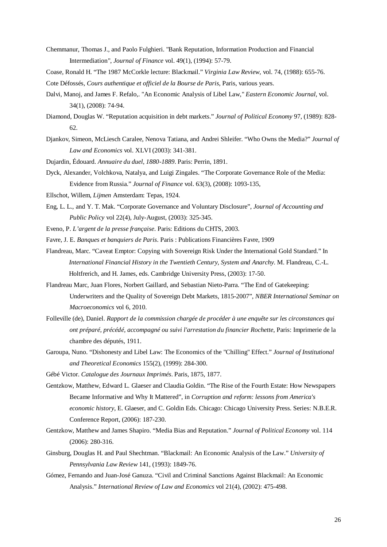- Chemmanur, Thomas J., and Paolo Fulghieri. "Bank Reputation, Information Production and Financial Intermediation", *Journal of Finance* vol. 49(1), (1994): 57-79.
- Coase, Ronald H. "The 1987 McCorkle lecture: Blackmail." *Virginia Law Review*, vol. 74, (1988): 655-76.
- Cote Défossés, *Cours authentique et officiel de la Bourse de Paris*, Paris, various years.
- Dalvi, Manoj, and James F. Refalo,. "An Economic Analysis of Libel Law," *Eastern Economic Journal*, vol. 34(1), (2008): 74-94.
- Diamond, Douglas W. "Reputation acquisition in debt markets." *Journal of Political Economy* 97, (1989): 828- 62.
- Djankov, Simeon, McLiesch Caralee, Nenova Tatiana, and Andrei Shleifer. "Who Owns the Media?" *Journal of Law and Economics* vol. XLVI (2003): 341-381.
- Dujardin, Édouard. *Annuaire du duel, 1880-1889*. Paris: Perrin, 1891.
- Dyck, Alexander, Volchkova, Natalya, and Luigi Zingales. "The Corporate Governance Role of the Media: Evidence from Russia." *Journal of Finance* vol. 63(3), (2008): 1093-135,
- Ellschot, Willem, *Lijmen* Amsterdam: Tepas, 1924.
- Eng, L. L., and Y. T. Mak. "Corporate Governance and Voluntary Disclosure", *Journal of Accounting and Public Policy* vol 22(4), July-August, (2003): 325-345.
- Eveno, P. *L'argent de la presse française*. Paris: Editions du CHTS, 2003.

Favre, J. E. *Banques et banquiers de Paris*. Paris : Publications Financières Favre, 1909

- Flandreau, Marc. "Caveat Emptor: Copying with Sovereign Risk Under the International Gold Standard." In *International Financial History in the Twentieth Century, System and Anarchy*. M. Flandreau, C.-L. Holtfrerich, and H. James, eds. Cambridge University Press, (2003): 17-50.
- Flandreau Marc, Juan Flores, Norbert Gaillard, and Sebastian Nieto-Parra. "The End of Gatekeeping: Underwriters and the Quality of Sovereign Debt Markets, 1815-2007", *NBER International Seminar on Macroeconomics* vol 6, 2010.
- Folleville (de), Daniel. *Rapport de la commission chargée de procéder à une enquête sur les circonstances qui ont préparé, précédé, accompagné ou suivi l'arrestation du financier Rochette*, Paris: Imprimerie de la chambre des députés, 1911.
- Garoupa, Nuno. "Dishonesty and Libel Law: The Economics of the "Chilling" Effect." *Journal of Institutional and Theoretical Economics* 155(2), (1999): 284-300.

Gébé Victor. *Catalogue des Journaux Imprimés*. Paris, 1875, 1877.

- Gentzkow, Matthew, Edward L. Glaeser and Claudia Goldin. "The Rise of the Fourth Estate: How Newspapers Became Informative and Why It Mattered", in *Corruption and reform: lessons from America's economic history*, E. Glaeser, and C. Goldin Eds. Chicago: Chicago University Press. Series: N.B.E.R. Conference Report, (2006): 187-230.
- Gentzkow, Matthew and James Shapiro. "Media Bias and Reputation." *Journal of Political Economy* vol. 114 (2006): 280-316.
- Ginsburg, Douglas H. and Paul Shechtman. "Blackmail: An Economic Analysis of the Law." *University of Pennsylvania Law Review* 141, (1993): 1849-76.
- Gómez, Fernando and Juan-José Ganuza. "Civil and Criminal Sanctions Against Blackmail: An Economic Analysis." *International Review of Law and Economics* vol 21(4), (2002): 475-498.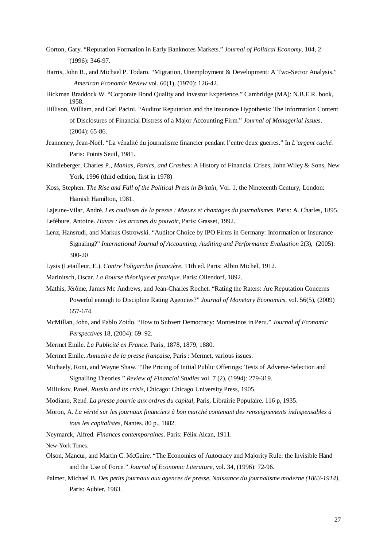- Gorton, Gary. "Reputation Formation in Early Banknotes Markets." *Journal of Political Economy*, 104, 2 (1996): 346-97.
- Harris, John R., and Michael P. Todaro. "Migration, Unemployment & Development: A Two-Sector Analysis." *American Economic Review* vol. 60(1), (1970): 126-42.
- Hickman Braddock W. "Corporate Bond Quality and Investor Experience." Cambridge (MA): N.B.E.R. book, 1958.
- Hillison, William, and Carl Pacini. "Auditor Reputation and the Insurance Hypothesis: The Information Content of Disclosures of Financial Distress of a Major Accounting Firm." *Journal of Managerial Issues*. (2004): 65-86.
- Jeanneney, Jean-Noël. "La vénalité du journalisme financier pendant l'entre deux guerres." In *L'argent caché*. Paris: Points Seuil, 1981.
- Kindleberger, Charles P., *Manias, Panics, and Crashes*: A History of Financial Crises, John Wiley & Sons, New York, 1996 (third edition, first in 1978)
- Koss, Stephen. *The Rise and Fall of the Political Press in Britain*, Vol. 1, the Nineteenth Century, London: Hamish Hamilton, 1981.
- Lajeune-Vilar, André. *Les coulisses de la presse : Mœurs et chantages du journalismes.* Paris: A. Charles, 1895. Lefébure, Antoine. *Havas : les arcanes du pouvoir*, Paris: Grasset, 1992.
- Lenz, Hansrudi, and Markus Ostrowski. "Auditor Choice by IPO Firms in Germany: Information or Insurance Signaling?" *International Journal of Accounting, Auditing and Performance Evaluation* 2(3), (2005): 300-20
- Lysis (Letailleur, E.). *Contre l'oligarchie financière*, 11th ed. Paris: Albin Michel, 1912.
- Marinitsch, Oscar. *La Bourse théorique et pratique*. Paris: Ollendorf, 1892.
- Mathis, Jérôme, James Mc Andrews, and Jean-Charles Rochet. "Rating the Raters: Are Reputation Concerns Powerful enough to Discipline Rating Agencies?" *Journal of Monetary Economics*, vol. 56(5), (2009) 657-674.
- McMillan, John, and Pablo Zoido. "How to Subvert Democracy: Montesinos in Peru." *Journal of Economic Perspectives* 18, (2004): 69–92.
- Mermet Emile. *La Publicité en France*. Paris, 1878, 1879, 1880.
- Mermet Emile. *Annuaire de la presse française*, Paris : Mermet, various issues.
- Michaely, Roni, and Wayne Shaw. "The Pricing of Initial Public Offerings: Tests of Adverse-Selection and Signalling Theories." *Review of Financial Studies* vol. 7 (2), (1994): 279-319.
- Miliukov, Pavel. *Russia and its crisis*, Chicago: Chicago University Press, 1905.
- Modiano, René. *La presse pourrie aux ordres du capital*, Paris, Librairie Populaire. 116 p, 1935.
- Moron, A. *La vérité sur les journaux financiers à bon marché contenant des renseignements indispensables à tous les capitalistes*, Nantes. 80 p., 1882.
- Neymarck, Alfred. *Finances contemporaines*. Paris: Félix Alcan, 1911.

New-York Times.

- Olson, Mancur, and Martin C. McGuire. "The Economics of Autocracy and Majority Rule: the Invisible Hand and the Use of Force." *Journal of Economic Literature*, vol. 34, (1996): 72-96.
- Palmer, Michael B. *Des petits journaux aux agences de presse. Naissance du journalisme moderne (1863-1914)*, Paris: Aubier, 1983.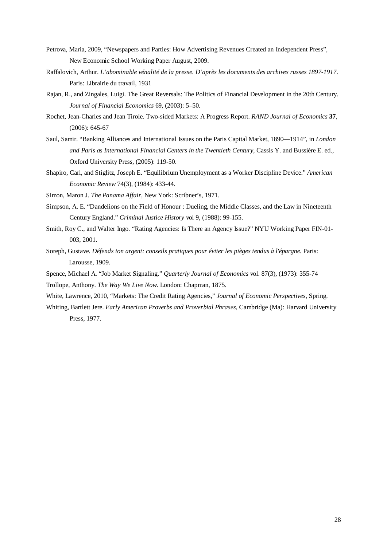- Petrova, Maria, 2009, "Newspapers and Parties: How Advertising Revenues Created an Independent Press", New Economic School Working Paper August, 2009.
- Raffalovich, Arthur. *L'abominable vénalité de la presse. D'après les documents des archives russes 1897-1917*. Paris: Librairie du travail, 1931
- Rajan, R., and Zingales, Luigi. The Great Reversals: The Politics of Financial Development in the 20th Century. *Journal of Financial Economics* 69, (2003): 5–50.
- Rochet, Jean-Charles and Jean Tirole. Two-sided Markets: A Progress Report. *RAND Journal of Economics* **37**, (2006): 645-67
- Saul, Samir. "Banking Alliances and International Issues on the Paris Capital Market, 1890—1914", in *London and Paris as International Financial Centers in the Twentieth Century*, Cassis Y. and Bussière E. ed., Oxford University Press, (2005): 119-50.
- Shapiro, Carl, and Stiglitz, Joseph E. "Equilibrium Unemployment as a Worker Discipline Device." *American Economic Review* 74(3), (1984): 433-44.
- Simon, Maron J. *The Panama Affair*, New York: Scribner's, 1971.
- Simpson, A. E. "Dandelions on the Field of Honour : Dueling, the Middle Classes, and the Law in Nineteenth Century England." *Criminal Justice History* vol 9, (1988): 99-155.
- Smith, Roy C., and Walter Ingo. "Rating Agencies: Is There an Agency Issue?" NYU Working Paper FIN-01- 003, 2001.
- Soreph, Gustave. *Défends ton argent: conseils pratiques pour éviter les pièges tendus à l'épargne*. Paris: Larousse, 1909.
- Spence, Michael A. "Job Market Signaling." *Quarterly Journal of Economics* vol. 87(3), (1973): 355-74
- Trollope, Anthony. *The Way We Live Now*. London: Chapman, 1875.
- White, Lawrence, 2010, "Markets: The Credit Rating Agencies," *Journal of Economic Perspectives*, Spring.
- Whiting, Bartlett Jere. *Early American Proverbs and Proverbial Phrases*, Cambridge (Ma): Harvard University Press, 1977.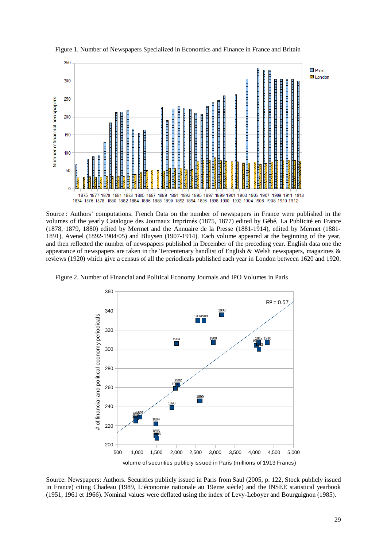

Figure 1. Number of Newspapers Specialized in Economics and Finance in France and Britain

Source : Authors' computations. French Data on the number of newspapers in France were published in the volumes of the yearly Catalogue des Journaux Imprimés (1875, 1877) edited by Gébé, La Publicité en France (1878, 1879, 1880) edited by Mermet and the Annuaire de la Presse (1881-1914), edited by Mermet (1881- 1891), Avenel (1892-1904/05) and Bluysen (1907-1914). Each volume appeared at the beginning of the year, and then reflected the number of newspapers published in December of the preceding year. English data one the appearance of newspapers are taken in the Tercentenary handlist of English & Welsh newspapers, magazines  $\&$ reviews (1920) which give a census of all the periodicals published each year in London between 1620 and 1920.



Figure 2. Number of Financial and Political Economy Journals and IPO Volumes in Paris

Source: Newspapers: Authors. Securities publicly issued in Paris from Saul (2005, p. 122, Stock publicly issued in France) citing Chadeau (1989, L'économie nationale au 19eme siècle) and the INSEE statistical yearbook (1951, 1961 et 1966). Nominal values were deflated using the index of Levy-Leboyer and Bourguignon (1985).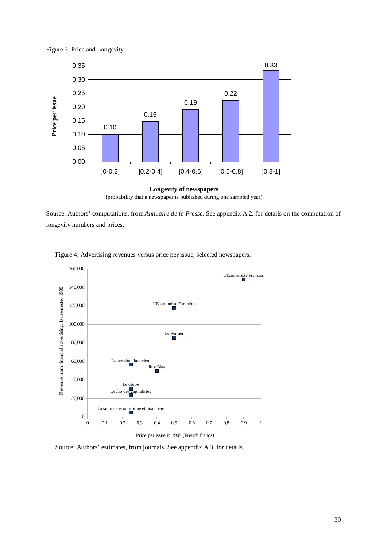



(probability that a newspaper is published during one sampled year)

Source: Authors' computations, from *Annuaire de la Presse*. See appendix A.2. for details on the computation of longevity numbers and prices.



Figure 4: Advertising revenues versus price per issue, selected newspapers.

Source: Authors' estimates, from journals. See appendix A.3. for details.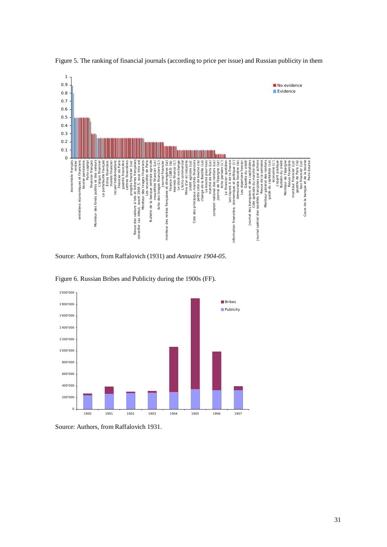

Figure 5. The ranking of financial journals (according to price per issue) and Russian publicity in them

Source: Authors, from Raffalovich (1931) and *Annuaire 1904-05*.



Figure 6. Russian Bribes and Publicity during the 1900s (FF).

Source: Authors, from Raffalovich 1931.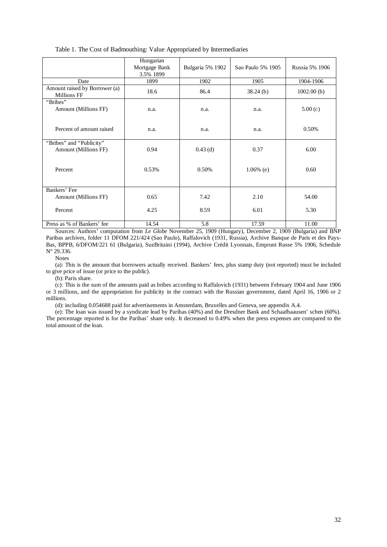|  | Table 1. The Cost of Badmouthing: Value Appropriated by Intermediaries |  |  |  |  |
|--|------------------------------------------------------------------------|--|--|--|--|
|--|------------------------------------------------------------------------|--|--|--|--|

|                                                     | Hungarian<br>Mortgage Bank<br>3.5% 1899 | Bulgaria 5% 1902 | Sao Paulo 5% 1905 | Russia 5% 1906 |
|-----------------------------------------------------|-----------------------------------------|------------------|-------------------|----------------|
| Date                                                | 1899                                    | 1902             | 1905              | 1904-1906      |
| Amount raised by Borrower (a)<br><b>Millions FF</b> | 18.6                                    | 86.4             | $38.24$ (b)       | 1002.00(b)     |
| "Bribes"<br>Amount (Millions FF)                    | n.a.                                    | n.a.             | n.a.              | 5.00(c)        |
| Percent of amount raised                            | n.a.                                    | n.a.             | n.a.              | 0.50%          |
| "Bribes" and "Publicity"<br>Amount (Millions FF)    | 0.94                                    | $0.43$ (d)       | 0.37              | 6.00           |
| Percent                                             | 0.53%                                   | 0.50%            | $1.06\%$ (e)      | 0.60           |
| Bankers' Fee                                        |                                         |                  |                   |                |
| Amount (Millions FF)                                | 0.65                                    | 7.42             | 2.10              | 54.00          |
| Percent                                             | 4.25                                    | 8.59             | 6.01              | 5.30           |
| Press as % of Bankers' fee                          | 14.54                                   | 5.8              | 17.59             | 11.00          |

Sources: Authors' computation from *Le Globe* November 25, 1909 (Hungary), December 2, 1909 (Bulgaria) and BNP Paribas archives, folder 11 DFOM 221/424 (Sao Paulo), Raffalovich (1931, Russia), Archive Banque de Paris et des Pays-Bas, BPPB, 6/DFOM/221 61 (Bulgaria), SuzBritaini (1994), Archive Crédit Lyonnais, Emprunt Russe 5% 1906, Schedule N° 29.336.

Notes

(a): This is the amount that borrowers actually received. Bankers' fees, plus stamp duty (not reported) must be included to give price of issue (or price to the public).

(b): Paris share.

(c): This is the sum of the amounts paid as bribes according to Raffalovich (1931) between February 1904 and June 1906 or 3 millions, and the appropriation for publicity in the contract with the Russian government, dated April 16, 1906 or 2 millions.

(d): including 0.054688 paid for advertisements in Amsterdam, Bruxelles and Geneva, see appendix A.4.

(e): The loan was issued by a syndicate lead by Paribas (40%) and the Dresdner Bank and Schaafhaausen' schen (60%). The percentage reported is for the Paribas' share only. It decreased to 0.49% when the press expenses are compared to the total amount of the loan.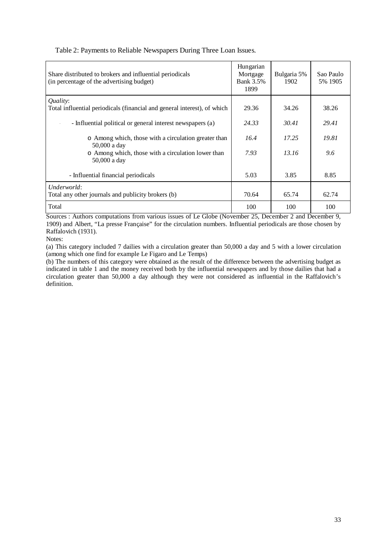| Share distributed to brokers and influential periodicals<br>(in percentage of the advertising budget) | Hungarian<br>Mortgage<br><b>Bank 3.5%</b><br>1899 | Bulgaria 5%<br>1902 | Sao Paulo<br>5% 1905 |
|-------------------------------------------------------------------------------------------------------|---------------------------------------------------|---------------------|----------------------|
| Quality:<br>Total influential periodicals (financial and general interest), of which                  | 29.36                                             | 34.26               | 38.26                |
| - Influential political or general interest newspapers (a)                                            | 24.33                                             | 30.41               | 29.41                |
| o Among which, those with a circulation greater than<br>50,000 a day                                  | 16.4                                              | 17.25               | 19.81                |
| o Among which, those with a circulation lower than<br>50,000 a day                                    | 7.93                                              | 13.16               | 9.6                  |
| - Influential financial periodicals                                                                   | 5.03                                              | 3.85                | 8.85                 |
| Underworld:<br>Total any other journals and publicity brokers (b)                                     | 70.64                                             | 65.74               | 62.74                |
| Total                                                                                                 | 100                                               | 100                 | 100                  |

# Table 2: Payments to Reliable Newspapers During Three Loan Issues.

Sources : Authors computations from various issues of Le Globe (November 25, December 2 and December 9, 1909) and Albert, "La presse Française" for the circulation numbers. Influential periodicals are those chosen by Raffalovich (1931).

Notes:

(a) This category included 7 dailies with a circulation greater than 50,000 a day and 5 with a lower circulation (among which one find for example Le Figaro and Le Temps)

(b) The numbers of this category were obtained as the result of the difference between the advertising budget as indicated in table 1 and the money received both by the influential newspapers and by those dailies that had a circulation greater than 50,000 a day although they were not considered as influential in the Raffalovich's definition.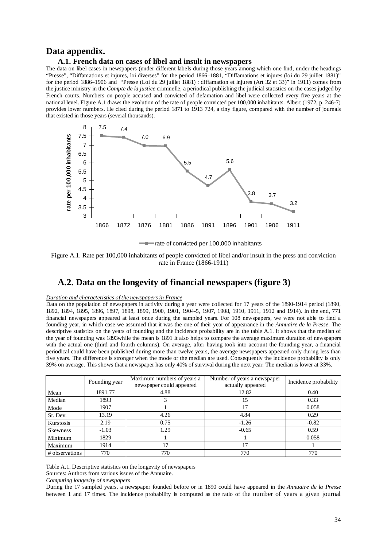# **Data appendix.**

#### **A.1. French data on cases of libel and insult in newspapers**

The data on libel cases in newspapers (under different labels during those years among which one find, under the headings "Presse", "Diffamations et injures, loi diverses" for the period 1866–1881, "Diffamations et injures (loi du 29 juillet 1881)" for the period 1886–1906 and "Presse (Loi du 29 juillet 1881) : diffamation et injures (Art 32 et 33)" in 1911) comes from the justice ministry in the *Compte de la justice* criminelle, a periodical publishing the judicial statistics on the cases judged by French courts. Numbers on people accused and convicted of defamation and libel were collected every five years at the national level. Figure A.1 draws the evolution of the rate of people convicted per 100,000 inhabitants. Albert (1972, p. 246-7) provides lower numbers. He cited during the period 1871 to 1913 724, a tiny figure, compared with the number of journals that existed in those years (several thousands).





Figure A.1. Rate per 100,000 inhabitants of people convicted of libel and/or insult in the press and conviction rate in France (1866-1911)

# **A.2. Data on the longevity of financial newspapers (figure 3)**

# *Duration and characteristics of the newspapers in France*

Data on the population of newspapers in activity during a year were collected for 17 years of the 1890-1914 period (1890, 1892, 1894, 1895, 1896, 1897, 1898, 1899, 1900, 1901, 1904-5, 1907, 1908, 1910, 1911, 1912 and 1914). In the end, 771 financial newspapers appeared at least once during the sampled years. For 108 newspapers, we were not able to find a founding year, in which case we assumed that it was the one of their year of appearance in the *Annuaire de la Presse*. The descriptive statistics on the years of founding and the incidence probability are in the table A.1. It shows that the median of the year of founding was 1893while the mean is 1891 It also helps to compare the average maximum duration of newspapers with the actual one (third and fourth columns). On average, after having took into account the founding year, a financial periodical could have been published during more than twelve years, the average newspapers appeared only during less than five years. The difference is stronger when the mode or the median are used. Consequently the incidence probability is only 39% on average. This shows that a newspaper has only 40% of survival during the next year. The median is lower at 33%.

|                 | Founding year | Maximum numbers of years a<br>newspaper could appeared | Number of years a newspaper<br>actually appeared | Incidence probability |
|-----------------|---------------|--------------------------------------------------------|--------------------------------------------------|-----------------------|
| Mean            | 1891.77       | 4.88                                                   | 12.82                                            | 0.40                  |
| Median          | 1893          |                                                        | 15                                               | 0.33                  |
| Mode            | 1907          |                                                        | 17                                               | 0.058                 |
| St. Dev.        | 13.19         | 4.26                                                   | 4.84                                             | 0.29                  |
| Kurstosis       | 2.19          | 0.75                                                   | $-1.26$                                          | $-0.82$               |
| <b>Skewness</b> | $-1.03$       | 1.29                                                   | $-0.65$                                          | 0.59                  |
| Minimum         | 1829          |                                                        |                                                  | 0.058                 |
| Maximum         | 1914          | 17                                                     | 17                                               |                       |
| # observations  | 770           | 770                                                    | 770                                              | 770                   |

Table A.1. Descriptive statistics on the longevity of newspapers

Sources: Authors from various issues of the Annuaire.

*Computing longevity of newspapers*

During the 17 sampled years, a newspaper founded before or in 1890 could have appeared in the *Annuaire de la Presse* between 1 and 17 times. The incidence probability is computed as the ratio of the number of years a given journal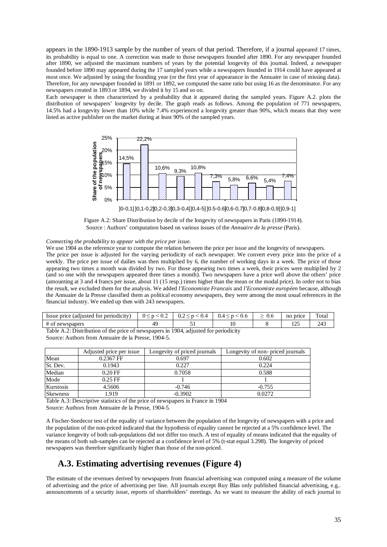appears in the 1890-1913 sample by the number of years of that period. Therefore, if a journal appeared 17 times, its probability is equal to one. A correction was made to those newspapers founded after 1890. For any newspaper founded after 1890, we adjusted the maximum numbers of years by the potential longevity of this journal. Indeed, a newspaper founded before 1890 may appeared during the 17 sampled years while a newspapers founded in 1914 could have appeared at most once. We adjusted by using the founding year (or the first year of appearance in the Annuaire in case of missing data). Therefore, for any newspaper founded in 1891 or 1892, we computed the same ratio but using 16 as the denominator. For any newspapers created in 1893 or 1894, we divided it by 15 and so on.

Each newspaper is then characterized by a probability that it appeared during the sampled years. Figure A.2. plots the distribution of newspapers' longevity by decile. The graph reads as follows. Among the population of 771 newspapers, 14.5% had a longevity lower than 10% while 7.4% experienced a longevity greater than 90%, which means that they were listed as active publisher on the market during at least 90% of the sampled years.



]0-0,1] ]0,1-0,2]0,2-0,3]0,3-0,4]]0,4-5] ]0.5-0.6]0,6-0,7]0,7-0.8]0,8-0,9]]0,9-1]



#### *Connecting the probability to appear with the price per issue.*

We use 1904 as the reference year to compute the relation between the price per issue and the longevity of newspapers. The price per issue is adjusted for the varying periodicity of each newspaper. We convert every price into the price of a weekly. The price per issue of dailies was then multiplied by 6, the number of working days in a week. The price of those appearing two times a month was divided by two. For those appearing two times a week, their prices were multiplied by 2 (and so one with the newspapers appeared three times a month). Two newspapers have a price well above the others' price (amounting at 3 and 4 francs per issue, about 11 (15 resp.) times higher than the mean or the modal price). In order not to bias the result, we excluded them for the analysis. We added *l'Economiste Francais* and *l'Economiste européen* because, although the Annuaire de la Presse classified them as political economy newspapers, they were among the most usual references in the financial industry. We ended up then with 243 newspapers.

| Issue price<br>cadiusted for periodicity) | $\mathsf{U}$ . $\mathsf{\Sigma}$ | ∪.∠<br>$\mathbf{U}$ | 0.6<br>0.4 | 0.6 | price<br>no    | $\mathbf{r}$<br>Total |
|-------------------------------------------|----------------------------------|---------------------|------------|-----|----------------|-----------------------|
| $#$ of<br>newspapers                      | 4с                               |                     | 1 U        |     | $\sim$<br>رے ت | 24J                   |

Table A.2: Distribution of the price of newspapers in 1904, adjusted for periodicity Source: Authors from Annuaire de la Presse, 1904-5.

|                 | Adjusted price per issue | Longevity of priced journals | Longevity of non-priced journals |
|-----------------|--------------------------|------------------------------|----------------------------------|
| Mean            | 0.2367 FF                | 0.697                        | 0.602                            |
| St. Dev.        | 0.1943                   | 0.227                        | 0.224                            |
| Median          | $0.20$ FF                | 0.7058                       | 0.588                            |
| Mode            | $0.25$ FF                |                              |                                  |
| Kurstosis       | 4.5606                   | $-0.746$                     | $-0.755$                         |
| <b>Skewness</b> | 1.919                    | $-0.3902$                    | 0.0272                           |

Table A.3: Descriptive statistics of the price of newspapers in France in 1904 Source: Authors from Annuaire de la Presse, 1904-5.

A Fischer-Snedecor test of the equality of variance between the population of the longevity of newspapers with a price and the population of the non-priced indicated that the hypothesis of equality cannot be rejected at a 5% confidence level. The variance longevity of both sub-populations did not differ too much. A test of equality of means indicated that the equality of the means of both sub-samples can be rejected at a confidence level of 5% (t-stat equal 3.298). The longevity of priced newspapers was therefore significantly higher than those of the non-priced.

# **A.3. Estimating advertising revenues (Figure 4)**

The estimate of the revenues derived by newspapers from financial advertising was computed using a measure of the volume of advertising and the price of advertising per line. All journals except Ruy Blas only published financial advertising, e.g.. announcements of a security issue, reports of shareholders' meetings. As we want to measure the ability of each journal to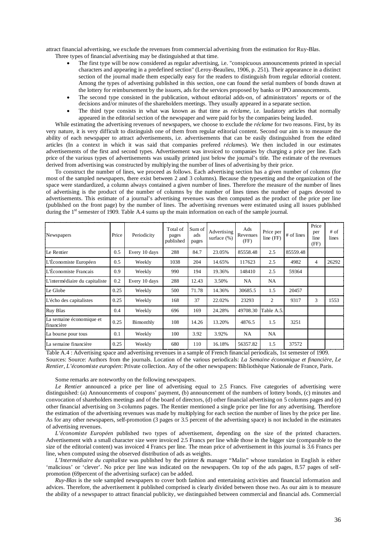attract financial advertising, we exclude the revenues from commercial advertising from the estimation for Ruy-Blas. Three types of financial advertising may be distinguished at that time.

- The first type will be now considered as regular advertising, i.e. "conspicuous announcements printed in special characters and appearing in a predefined section" (Leroy-Beaulieu, 1906, p. 251). Their appearance in a distinct section of the journal made them especially easy for the readers to distinguish from regular editorial content. Among the types of advertising published in this section, one can found the serial numbers of bonds drawn at the lottery for reimbursement by the issuers, ads for the services proposed by banks or IPO announcements.
- The second type consisted in the publication, without editorial adds-on, of administrators' reports or of the decisions and/or minutes of the shareholders meetings. They usually appeared in a separate section.
- The third type consists in what was known as that time as *réclame*, i.e. laudatory articles that normally appeared in the editorial section of the newspaper and were paid for by the companies being lauded.

While estimating the advertising revenues of newspapers, we choose to exclude the *réclame* for two reasons. First, by its very nature, it is very difficult to distinguish one of them from regular editorial content. Second our aim is to measure the ability of each newspaper to attract advertisements, i.e. advertisements that can be easily distinguished from the edited articles (In a context in which it was said that companies prefered *réclame*s). We then included in our estimates advertisements of the first and second types. Advertisement was invoiced to companies by charging a price per line. Each price of the various types of advertisements was usually printed just below the journal's title. The estimate of the revenues derived from advertising was constructed by multiplying the number of lines of advertising by their price.

To construct the number of lines, we proceed as follows. Each advertising section has a given number of columns (for most of the sampled newspapers, there exist between 2 and 3 columns). Because the typesetting and the organization of the space were standardized, a column always contained a given number of lines. Therefore the measure of the number of lines of advertising is the product of the number of columns by the number of lines times the number of pages devoted to advertisements. This estimate of a journal's advertising revenues was then computed as the product of the price per line (published on the front page) by the number of lines. The advertising revenues were estimated using all issues published during the 1<sup>st</sup> semester of 1909. Table A.4 sums up the main information on each of the sample journal.

| Newspapers                             | Price | Periodicity   | Total of<br>pages<br>published | Sum of<br>ads<br>pages | Advertising<br>surface $(\%)$ | Ads<br>Revenues<br>(FF) | Price per<br>line (FF) | # of lines | Price<br>per<br>line<br>(FF) | # of<br>lines |
|----------------------------------------|-------|---------------|--------------------------------|------------------------|-------------------------------|-------------------------|------------------------|------------|------------------------------|---------------|
| Le Rentier                             | 0.5   | Every 10 days | 288                            | 84.7                   | 23.05%                        | 85558.48                | 2.5                    | 85559.48   |                              |               |
| L'Économiste Européen                  | 0.5   | Weekly        | 1038                           | 204                    | 14.65%                        | 117623                  | 2.5                    | 4982       | $\overline{4}$               | 26292         |
| L'Économiste Français                  | 0.9   | Weekly        | 990                            | 194                    | 19.36%                        | 148410                  | 2.5                    | 59364      |                              |               |
| L'intermédiaire du capitaliste         | 0.2   | Every 10 days | 288                            | 12.43                  | 3.50%                         | <b>NA</b>               | <b>NA</b>              |            |                              |               |
| Le Globe                               | 0.25  | Weekly        | 500                            | 71.78                  | 14.36%                        | 30685.5                 | 1.5                    | 20457      |                              |               |
| L'écho des capitalistes                | 0.25  | Weekly        | 168                            | 37                     | 22.02%                        | 23293                   | 2                      | 9317       | 3                            | 1553          |
| Ruy Blas                               | 0.4   | Weekly        | 696                            | 169                    | 24.28%                        | 49708.30                | Table A.5.             |            |                              |               |
| La semaine économique et<br>financière | 0.25  | Bimonthly     | 108                            | 14.26                  | 13.20%                        | 4876.5                  | 1.5                    | 3251       |                              |               |
| La bourse pour tous                    | 0.1   | Weekly        | 100                            | 3.92                   | 3.92%                         | NA.                     | <b>NA</b>              |            |                              |               |
| La semaine financière                  | 0.25  | Weekly        | 680                            | 110                    | 16.18%                        | 56357.82                | 1.5                    | 37572      |                              |               |

Table A.4 : Advertising space and advertising revenues in a sample of French financial periodicals, 1st semester of 1909. Sources: Source: Authors from the journals. Location of the various periodicals: *La Semaine économique et financière*, *Le Rentier*, *L'économiste européen*: Private collection. Any of the other newspapers: Bibliothèque Nationale de France, Paris.

Some remarks are noteworthy on the following newspapers.

*Le Rentier* announced a price per line of advertising equal to 2.5 Francs. Five categories of advertising were distinguished: (a) Announcements of coupons' payment, (b) announcement of the numbers of lottery bonds, (c) minutes and convocation of shareholders meetings and of the board of directors, (d) other financial advertising on 5 columns pages and (e) other financial advertising on 3-columns pages. The Rentier mentioned a single price per line for any advertising. Therefore the estimation of the advertising revenues was made by multiplying for each section the number of lines by the price per line. As for any other newspapers, self-promotion (3 pages or 3.5 percent of the advertising space) is not included in the estimates of advertising revenues.

*L'économiste Européen* published two types of advertisement, depending on the size of the printed characters. Advertisement with a small character size were invoiced 2.5 Francs per line while those in the bigger size (comparable to the size of the editorial content) was invoiced 4 Francs per line. The mean price of advertisement in this journal is 3.6 Francs per line, when computed using the observed distribution of ads as weights.

*L'Intermédiaire du capitaliste* was published by the printer & manager "Malin" whose translation in English is either 'malicious' or 'clever'. No price per line was indicated on the newspapers. On top of the ads pages, 8.57 pages of selfpromotion (69percent of the advertising surface) can be added.

*Ruy-Blas* is the sole sampled newspapers to cover both fashion and entertaining activities and financial information and advices. Therefore, the advertisement it published comprised is clearly divided between those two. As our aim is to measure the ability of a newspaper to attract financial publicity, we distinguished between commercial and financial ads. Commercial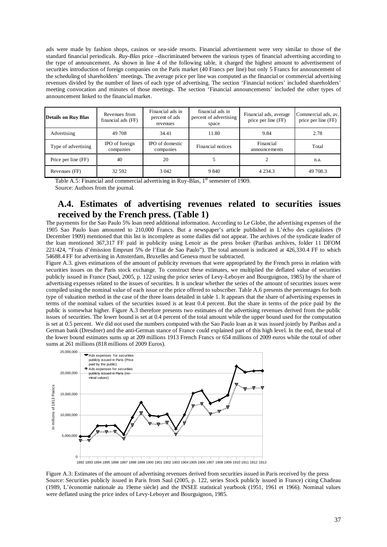ads were made by fashion shops, casinos or sea-side resorts. Financial advertisement were very similar to those of the standard financial periodicals. *Ruy-Blas* price –discriminated between the various types of financial advertising according to the type of announcement. As shown in line 4 of the following table, it charged the highest amount to advertisement of securities introduction of foreign companies on the Paris market (40 Francs per line) but only 5 Francs for announcement of the scheduling of shareholders' meetings. The average price per line was computed as the financial or commercial advertising revenues divided by the number of lines of each type of advertising. The section 'Financial notices' included shareholders' meeting convocation and minutes of those meetings. The section 'Financial announcements' included the other types of announcement linked to the financial market.

| <b>Details on Ruy Blas</b> | Revenues from<br>financial ads (FF) | Financial ads in<br>percent of ads<br>revenues | financial ads in<br>percent of advertising<br>space | Financial ads, average<br>price per line (FF) | Commercial ads, av.<br>price per line (FF) |
|----------------------------|-------------------------------------|------------------------------------------------|-----------------------------------------------------|-----------------------------------------------|--------------------------------------------|
| Advertising                | 49 708                              | 34.41                                          | 11.80                                               | 9.84                                          | 2.78                                       |
| Type of advertising        | IPO of foreign<br>companies         | IPO of domestic<br>companies                   | Financial notices                                   | Financial<br>announcements                    | Total                                      |
| Price per line (FF)        | 40                                  | 20                                             |                                                     |                                               | n.a.                                       |
| Revenues (FF)              | 32 592                              | 3 0 4 2                                        | 9 8 4 0                                             | 4 2 3 4 .3                                    | 49 708.3                                   |

Table A.5: Financial and commercial advertising in Ruy-Blas,  $1<sup>st</sup>$  semester of 1909. Source: Authors from the journal.

# **A.4. Estimates of advertising revenues related to securities issues received by the French press. (Table 1)**

The payments for the Sao Paulo 5% loan need additional information. According to Le Globe, the advertising expenses of the 1905 Sao Paulo loan amounted to 210,000 Francs. But a newspaper's article published in L'écho des capitalistes (9 December 1909) mentioned that this list is incomplete as some dailies did not appear. The archives of the syndicate leader of the loan mentioned 367,317 FF paid in publicity using Lenoir as the press broker (Paribas archives, folder 11 DFOM 221/424, "Frais d'émission Emprunt 5% de l'Etat de Sao Paulo"). The total amount is indicated at 426,330.4 FF to which 54688.4 FF for advertising in Amsterdam, Bruxelles and Geneva must be subtracted.

Figure A.3. gives estimations of the amount of publicity revenues that were appropriated by the French press in relation with securities issues on the Paris stock exchange. To construct these estimates, we multiplied the deflated value of securities publicly issued in France (Saul, 2005, p. 122 using the price series of Levy-Leboyer and Bourguignon, 1985) by the share of advertising expenses related to the issues of securities. It is unclear whether the series of the amount of securities issues were compiled using the nominal value of each issue or the price offered to subscriber. Table A.6 presents the percentages for both type of valuation method in the case of the three loans detailed in table 1. It appears that the share of advertising expenses in terms of the nominal values of the securities issued is at least 0.4 percent. But the share in terms of the price paid by the public is somewhat higher. Figure A.3 therefore presents two estimates of the advertising revenues derived from the public issues of securities. The lower bound is set at 0.4 percent of the total amount while the upper bound used for the computation is set at 0.5 percent. We did not used the numbers computed with the Sao Paulo loan as it was issued jointly by Paribas and a German bank (Dresdner) and the anti-German stance of France could explained part of this high level. In the end, the total of the lower bound estimates sums up at 209 millions 1913 French Francs or 654 millions of 2009 euros while the total of other sums at 261 millions (818 millions of 2009 Euros).



1892 1893 1894 1895 1896 1897 1898 1899 1900 1901 1902 1903 1904 1905 1906 1907 1908 1909 1910 1911 1912 1913

Figure A.3: Estimates of the amount of advertising revenues derived from securities issued in Paris received by the press Source: Securities publicly issued in Paris from Saul (2005, p. 122, series Stock publicly issued in France) citing Chadeau (1989, L'économie nationale au 19eme siècle) and the INSEE statistical yearbook (1951, 1961 et 1966). Nominal values were deflated using the price index of Levy-Leboyer and Bourguignon, 1985.